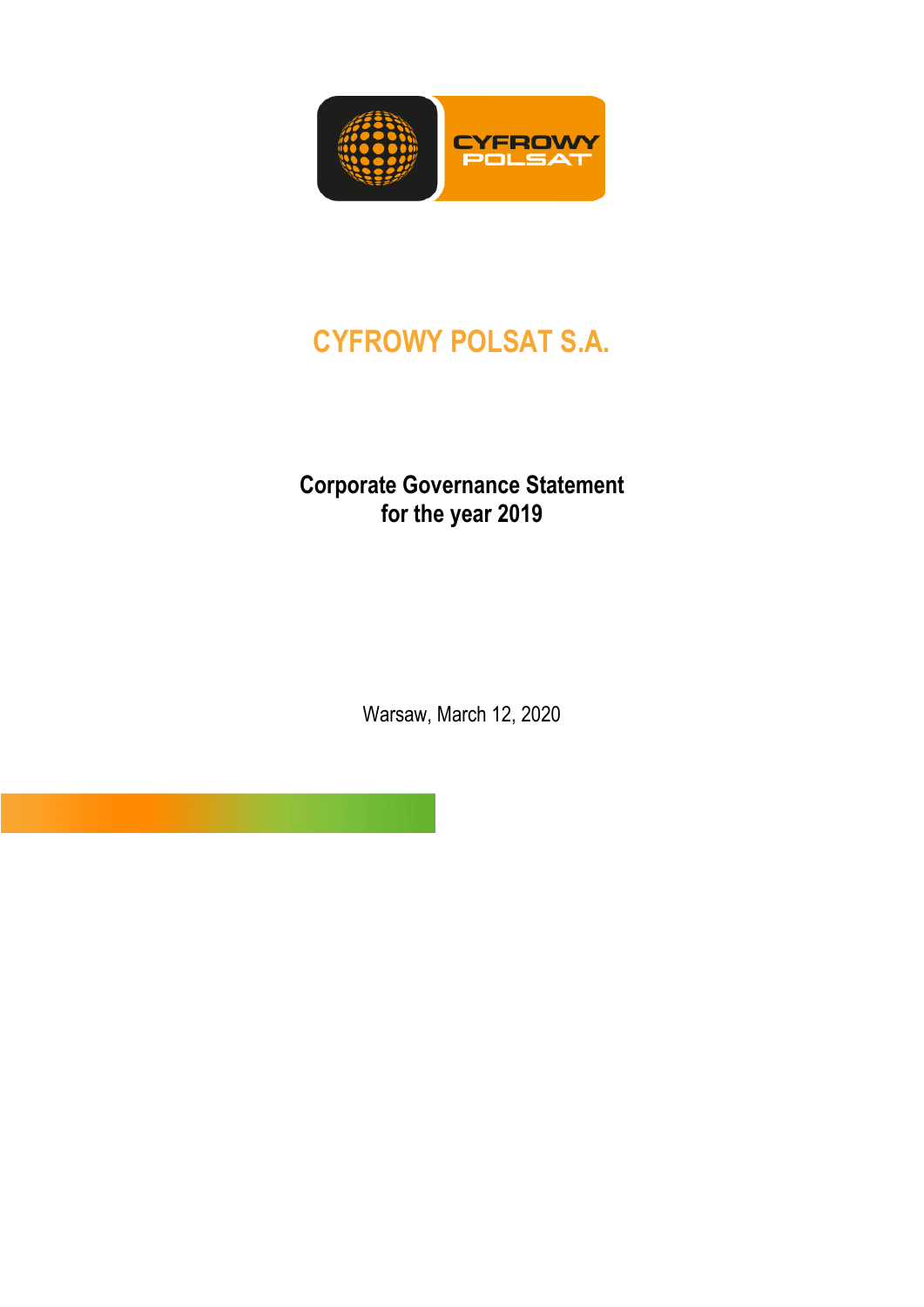

# **CYFROWY POLSAT S.A.**

## **Corporate Governance Statement for the year 2019**

Warsaw, March 12, 2020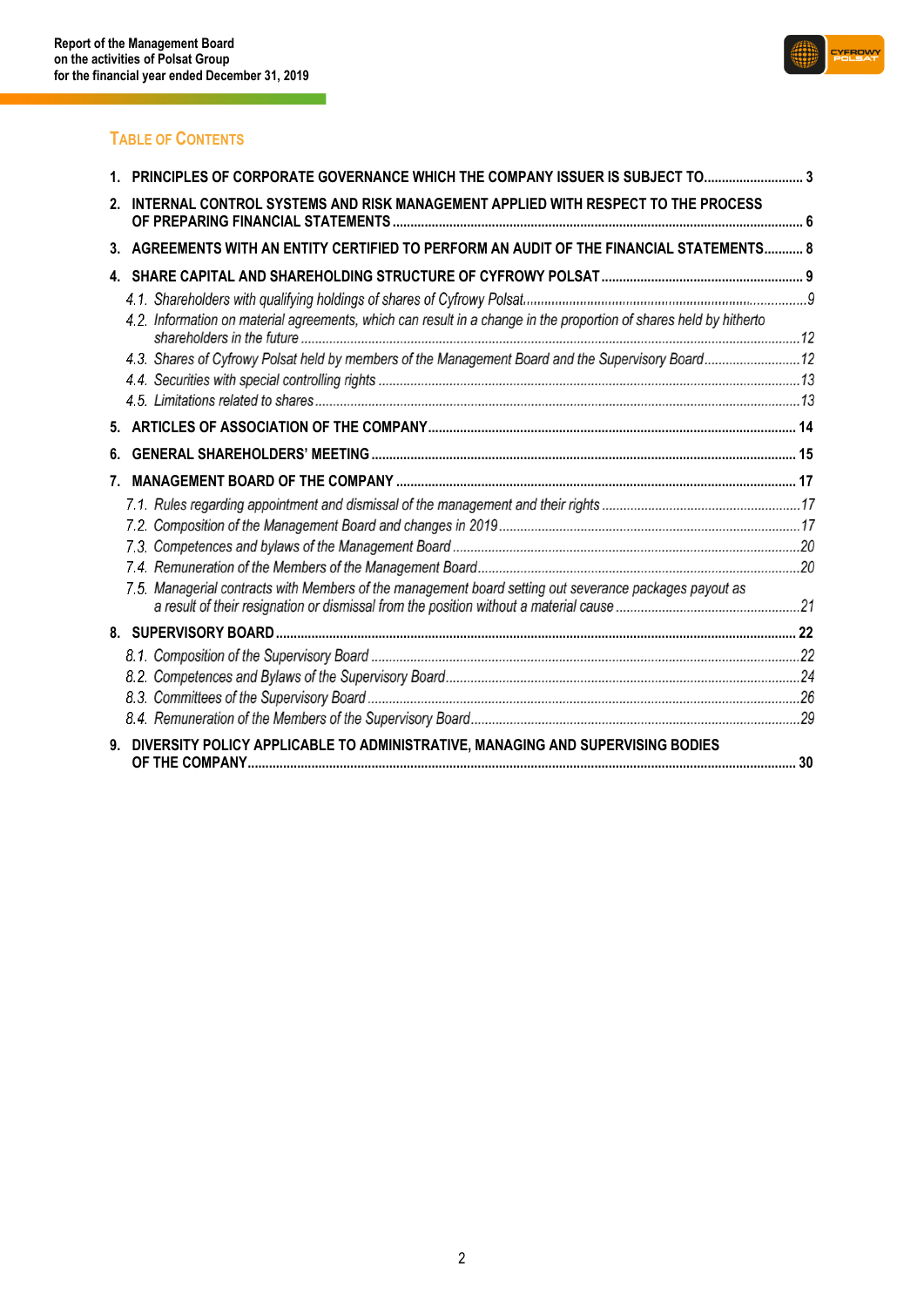<u>e a s</u>



### **TABLE OF CONTENTS**

|    | PRINCIPLES OF CORPORATE GOVERNANCE WHICH THE COMPANY ISSUER IS SUBJECT TO 3                                        |  |
|----|--------------------------------------------------------------------------------------------------------------------|--|
| 2. | INTERNAL CONTROL SYSTEMS AND RISK MANAGEMENT APPLIED WITH RESPECT TO THE PROCESS                                   |  |
| 3. | AGREEMENTS WITH AN ENTITY CERTIFIED TO PERFORM AN AUDIT OF THE FINANCIAL STATEMENTS 8                              |  |
|    |                                                                                                                    |  |
|    | 4.2. Information on material agreements, which can result in a change in the proportion of shares held by hitherto |  |
|    | 4.3. Shares of Cyfrowy Polsat held by members of the Management Board and the Supervisory Board12                  |  |
|    |                                                                                                                    |  |
|    |                                                                                                                    |  |
|    |                                                                                                                    |  |
| 6. |                                                                                                                    |  |
| 7. |                                                                                                                    |  |
|    |                                                                                                                    |  |
|    |                                                                                                                    |  |
|    |                                                                                                                    |  |
|    |                                                                                                                    |  |
|    | 7.5. Managerial contracts with Members of the management board setting out severance packages payout as            |  |
|    |                                                                                                                    |  |
|    |                                                                                                                    |  |
|    |                                                                                                                    |  |
|    |                                                                                                                    |  |
|    |                                                                                                                    |  |
| 9. | DIVERSITY POLICY APPLICABLE TO ADMINISTRATIVE, MANAGING AND SUPERVISING BODIES                                     |  |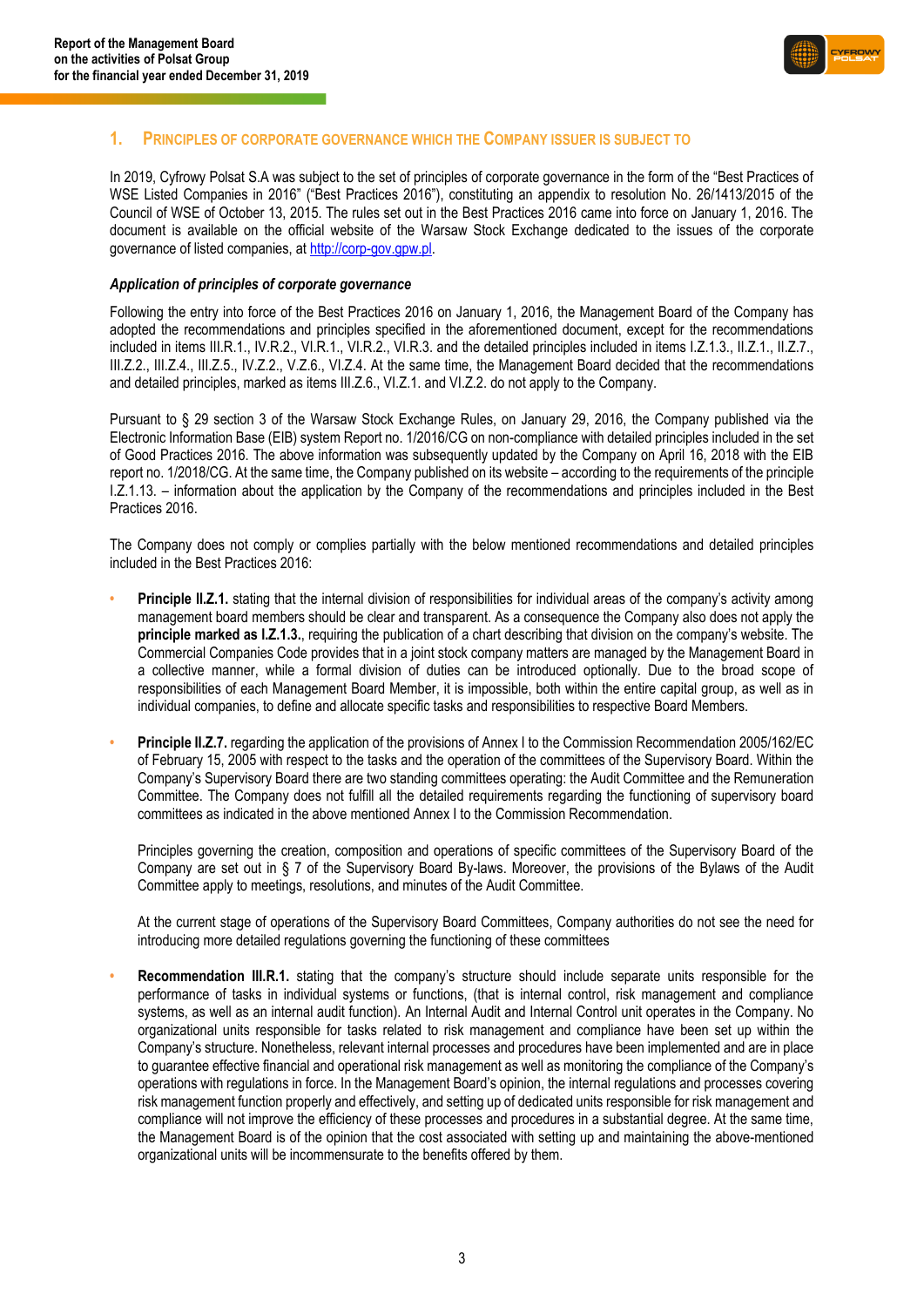

### <span id="page-2-0"></span>**1. PRINCIPLES OF CORPORATE GOVERNANCE WHICH THE COMPANY ISSUER IS SUBJECT TO**

In 2019, Cyfrowy Polsat S.A was subject to the set of principles of corporate governance in the form of the "Best Practices of WSE Listed Companies in 2016" ("Best Practices 2016"), constituting an appendix to resolution No. 26/1413/2015 of the Council of WSE of October 13, 2015. The rules set out in the Best Practices 2016 came into force on January 1, 2016. The document is available on the official website of the Warsaw Stock Exchange dedicated to the issues of the corporate governance of listed companies, at [http://corp-gov.gpw.pl.](http://corp-gov.gpw.pl/) 

#### *Application of principles of corporate governance*

Following the entry into force of the Best Practices 2016 on January 1, 2016, the Management Board of the Company has adopted the recommendations and principles specified in the aforementioned document, except for the recommendations included in items III.R.1., IV.R.2., VI.R.1., VI.R.2., VI.R.3. and the detailed principles included in items I.Z.1.3., II.Z.1., II.Z.7., III.Z.2., III.Z.4., III.Z.5., IV.Z.2., V.Z.6., VI.Z.4. At the same time, the Management Board decided that the recommendations and detailed principles, marked as items III.Z.6., VI.Z.1. and VI.Z.2. do not apply to the Company.

Pursuant to § 29 section 3 of the Warsaw Stock Exchange Rules, on January 29, 2016, the Company published via the Electronic Information Base (EIB) system Report no. 1/2016/CG on non-compliance with detailed principles included in the set of Good Practices 2016. The above information was subsequently updated by the Company on April 16, 2018 with the EIB report no. 1/2018/CG. At the same time, the Company published on its website – according to the requirements of the principle I.Z.1.13. – information about the application by the Company of the recommendations and principles included in the Best Practices 2016.

The Company does not comply or complies partially with the below mentioned recommendations and detailed principles included in the Best Practices 2016:

- **• Principle II.Z.1.** stating that the internal division of responsibilities for individual areas of the company's activity among management board members should be clear and transparent. As a consequence the Company also does not apply the **principle marked as I.Z.1.3.**, requiring the publication of a chart describing that division on the company's website. The Commercial Companies Code provides that in a joint stock company matters are managed by the Management Board in a collective manner, while a formal division of duties can be introduced optionally. Due to the broad scope of responsibilities of each Management Board Member, it is impossible, both within the entire capital group, as well as in individual companies, to define and allocate specific tasks and responsibilities to respective Board Members.
- **Principle II.Z.7.** regarding the application of the provisions of Annex I to the Commission Recommendation 2005/162/EC of February 15, 2005 with respect to the tasks and the operation of the committees of the Supervisory Board. Within the Company's Supervisory Board there are two standing committees operating: the Audit Committee and the Remuneration Committee. The Company does not fulfill all the detailed requirements regarding the functioning of supervisory board committees as indicated in the above mentioned Annex I to the Commission Recommendation.

Principles governing the creation, composition and operations of specific committees of the Supervisory Board of the Company are set out in § 7 of the Supervisory Board By-laws. Moreover, the provisions of the Bylaws of the Audit Committee apply to meetings, resolutions, and minutes of the Audit Committee.

At the current stage of operations of the Supervisory Board Committees, Company authorities do not see the need for introducing more detailed regulations governing the functioning of these committees

**• Recommendation III.R.1.** stating that the company's structure should include separate units responsible for the performance of tasks in individual systems or functions, (that is internal control, risk management and compliance systems, as well as an internal audit function). An Internal Audit and Internal Control unit operates in the Company. No organizational units responsible for tasks related to risk management and compliance have been set up within the Company's structure. Nonetheless, relevant internal processes and procedures have been implemented and are in place to guarantee effective financial and operational risk management as well as monitoring the compliance of the Company's operations with regulations in force. In the Management Board's opinion, the internal regulations and processes covering risk management function properly and effectively, and setting up of dedicated units responsible for risk management and compliance will not improve the efficiency of these processes and procedures in a substantial degree. At the same time, the Management Board is of the opinion that the cost associated with setting up and maintaining the above-mentioned organizational units will be incommensurate to the benefits offered by them.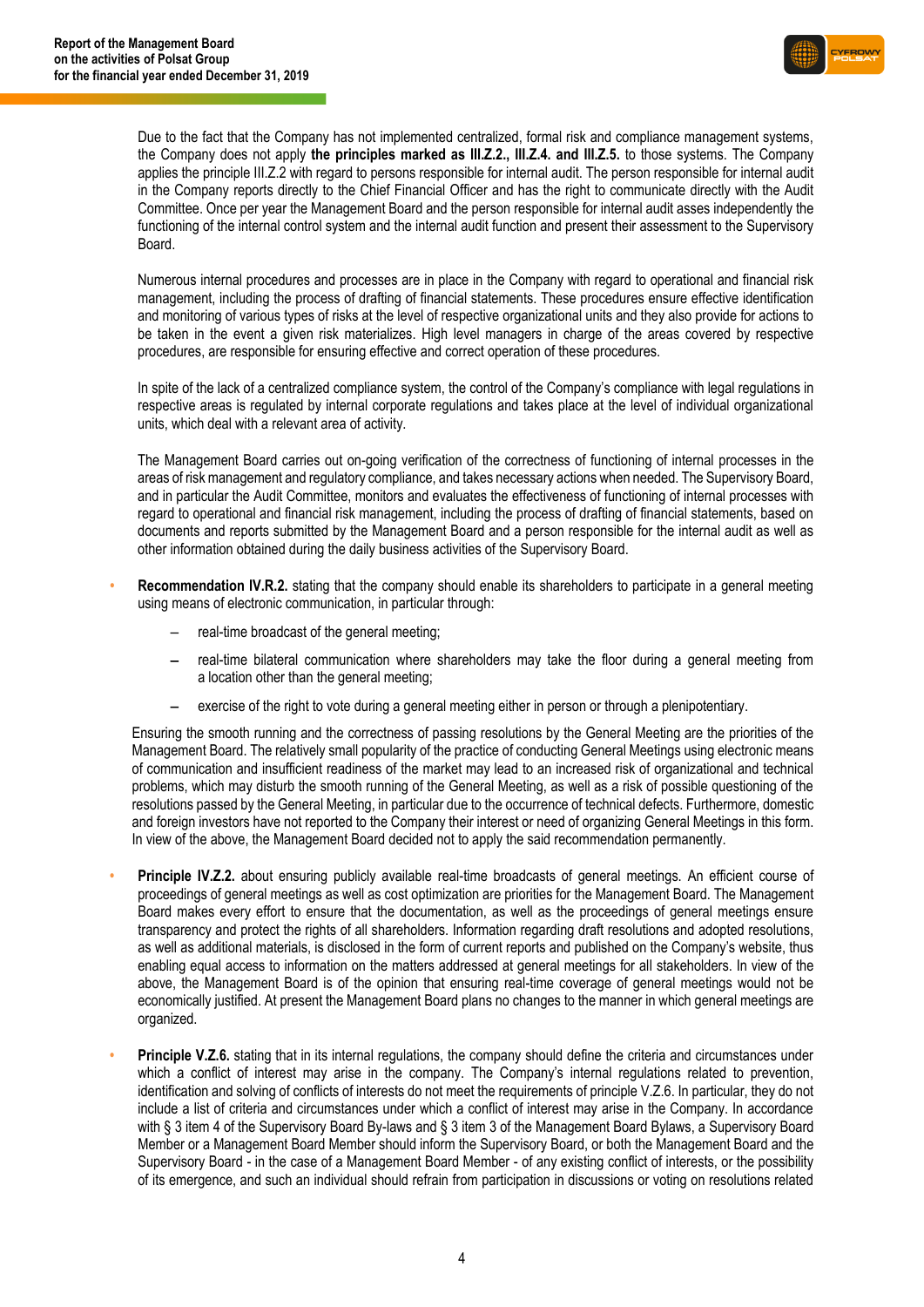

Due to the fact that the Company has not implemented centralized, formal risk and compliance management systems, the Company does not apply **the principles marked as III.Z.2., III.Z.4. and III.Z.5.** to those systems. The Company applies the principle III.Z.2 with regard to persons responsible for internal audit. The person responsible for internal audit in the Company reports directly to the Chief Financial Officer and has the right to communicate directly with the Audit Committee. Once per year the Management Board and the person responsible for internal audit asses independently the functioning of the internal control system and the internal audit function and present their assessment to the Supervisory Board.

Numerous internal procedures and processes are in place in the Company with regard to operational and financial risk management, including the process of drafting of financial statements. These procedures ensure effective identification and monitoring of various types of risks at the level of respective organizational units and they also provide for actions to be taken in the event a given risk materializes. High level managers in charge of the areas covered by respective procedures, are responsible for ensuring effective and correct operation of these procedures.

In spite of the lack of a centralized compliance system, the control of the Company's compliance with legal regulations in respective areas is regulated by internal corporate regulations and takes place at the level of individual organizational units, which deal with a relevant area of activity.

The Management Board carries out on-going verification of the correctness of functioning of internal processes in the areas of risk management and regulatory compliance, and takes necessary actions when needed. The Supervisory Board, and in particular the Audit Committee, monitors and evaluates the effectiveness of functioning of internal processes with regard to operational and financial risk management, including the process of drafting of financial statements, based on documents and reports submitted by the Management Board and a person responsible for the internal audit as well as other information obtained during the daily business activities of the Supervisory Board.

- **• Recommendation IV.R.2.** stating that the company should enable its shareholders to participate in a general meeting using means of electronic communication, in particular through:
	- real-time broadcast of the general meeting:
	- real-time bilateral communication where shareholders may take the floor during a general meeting from a location other than the general meeting;
	- exercise of the right to vote during a general meeting either in person or through a plenipotentiary.

Ensuring the smooth running and the correctness of passing resolutions by the General Meeting are the priorities of the Management Board. The relatively small popularity of the practice of conducting General Meetings using electronic means of communication and insufficient readiness of the market may lead to an increased risk of organizational and technical problems, which may disturb the smooth running of the General Meeting, as well as a risk of possible questioning of the resolutions passed by the General Meeting, in particular due to the occurrence of technical defects. Furthermore, domestic and foreign investors have not reported to the Company their interest or need of organizing General Meetings in this form. In view of the above, the Management Board decided not to apply the said recommendation permanently.

- **• Principle IV.Z.2.** about ensuring publicly available real-time broadcasts of general meetings. An efficient course of proceedings of general meetings as well as cost optimization are priorities for the Management Board. The Management Board makes every effort to ensure that the documentation, as well as the proceedings of general meetings ensure transparency and protect the rights of all shareholders. Information regarding draft resolutions and adopted resolutions, as well as additional materials, is disclosed in the form of current reports and published on the Company's website, thus enabling equal access to information on the matters addressed at general meetings for all stakeholders. In view of the above, the Management Board is of the opinion that ensuring real-time coverage of general meetings would not be economically justified. At present the Management Board plans no changes to the manner in which general meetings are organized.
- **Principle V.Z.6.** stating that in its internal regulations, the company should define the criteria and circumstances under which a conflict of interest may arise in the company. The Company's internal regulations related to prevention, identification and solving of conflicts of interests do not meet the requirements of principle V.Z.6. In particular, they do not include a list of criteria and circumstances under which a conflict of interest may arise in the Company. In accordance with § 3 item 4 of the Supervisory Board By-laws and § 3 item 3 of the Management Board Bylaws, a Supervisory Board Member or a Management Board Member should inform the Supervisory Board, or both the Management Board and the Supervisory Board - in the case of a Management Board Member - of any existing conflict of interests, or the possibility of its emergence, and such an individual should refrain from participation in discussions or voting on resolutions related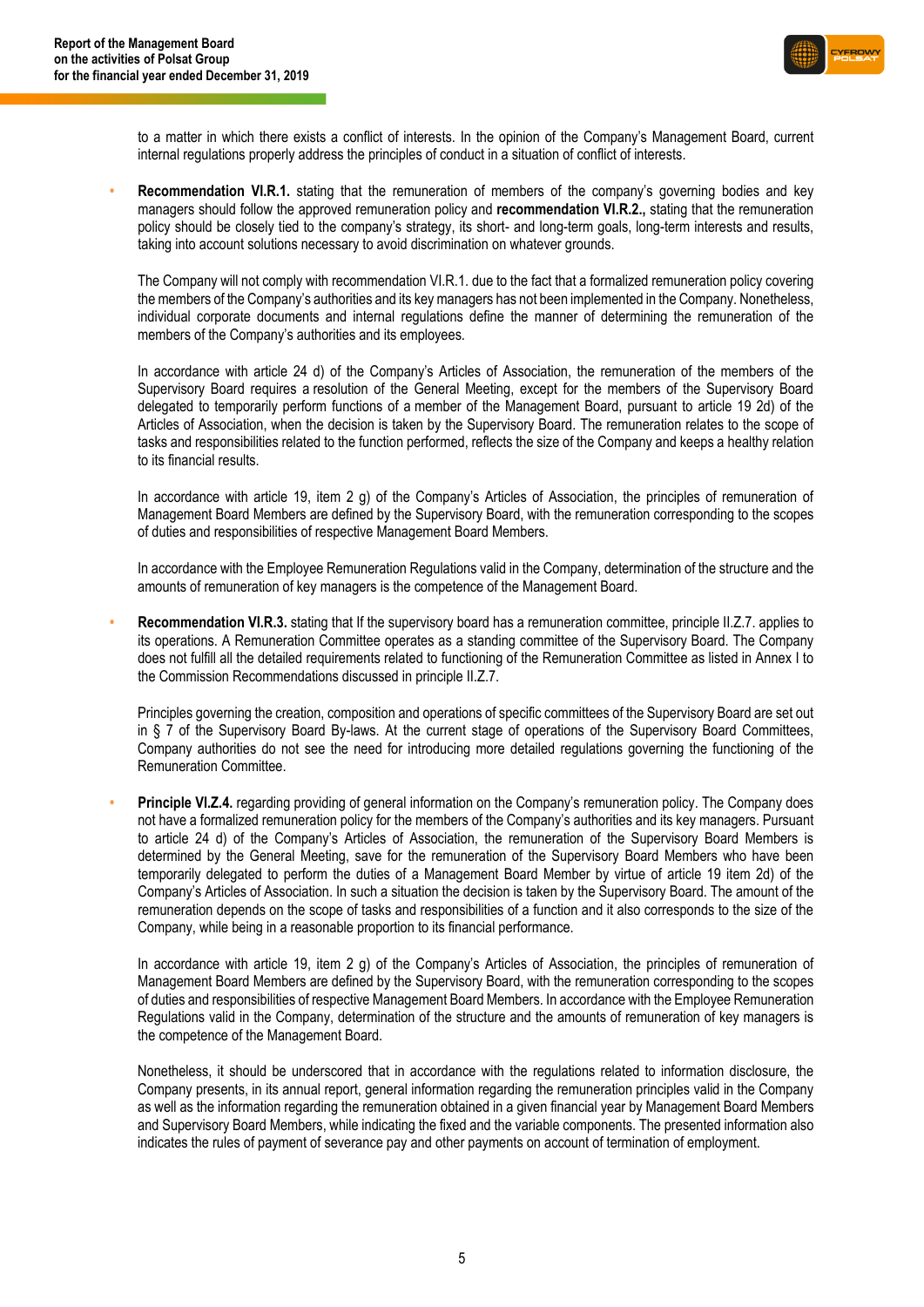

to a matter in which there exists a conflict of interests. In the opinion of the Company's Management Board, current internal regulations properly address the principles of conduct in a situation of conflict of interests.

**• Recommendation VI.R.1.** stating that the remuneration of members of the company's governing bodies and key managers should follow the approved remuneration policy and **recommendation VI.R.2.,** stating that the remuneration policy should be closely tied to the company's strategy, its short- and long-term goals, long-term interests and results, taking into account solutions necessary to avoid discrimination on whatever grounds.

The Company will not comply with recommendation VI.R.1. due to the fact that a formalized remuneration policy covering the members of the Company's authorities and its key managers has not been implemented in the Company. Nonetheless, individual corporate documents and internal regulations define the manner of determining the remuneration of the members of the Company's authorities and its employees.

In accordance with article 24 d) of the Company's Articles of Association, the remuneration of the members of the Supervisory Board requires a resolution of the General Meeting, except for the members of the Supervisory Board delegated to temporarily perform functions of a member of the Management Board, pursuant to article 19 2d) of the Articles of Association, when the decision is taken by the Supervisory Board. The remuneration relates to the scope of tasks and responsibilities related to the function performed, reflects the size of the Company and keeps a healthy relation to its financial results.

In accordance with article 19, item 2 g) of the Company's Articles of Association, the principles of remuneration of Management Board Members are defined by the Supervisory Board, with the remuneration corresponding to the scopes of duties and responsibilities of respective Management Board Members.

In accordance with the Employee Remuneration Regulations valid in the Company, determination of the structure and the amounts of remuneration of key managers is the competence of the Management Board.

**Recommendation VI.R.3.** stating that If the supervisory board has a remuneration committee, principle II.Z.7. applies to its operations. A Remuneration Committee operates as a standing committee of the Supervisory Board. The Company does not fulfill all the detailed requirements related to functioning of the Remuneration Committee as listed in Annex I to the Commission Recommendations discussed in principle II.Z.7.

Principles governing the creation, composition and operations of specific committees of the Supervisory Board are set out in § 7 of the Supervisory Board By-laws. At the current stage of operations of the Supervisory Board Committees, Company authorities do not see the need for introducing more detailed regulations governing the functioning of the Remuneration Committee.

**• Principle VI.Z.4.** regarding providing of general information on the Company's remuneration policy. The Company does not have a formalized remuneration policy for the members of the Company's authorities and its key managers. Pursuant to article 24 d) of the Company's Articles of Association, the remuneration of the Supervisory Board Members is determined by the General Meeting, save for the remuneration of the Supervisory Board Members who have been temporarily delegated to perform the duties of a Management Board Member by virtue of article 19 item 2d) of the Company's Articles of Association. In such a situation the decision is taken by the Supervisory Board. The amount of the remuneration depends on the scope of tasks and responsibilities of a function and it also corresponds to the size of the Company, while being in a reasonable proportion to its financial performance.

In accordance with article 19, item 2 g) of the Company's Articles of Association, the principles of remuneration of Management Board Members are defined by the Supervisory Board, with the remuneration corresponding to the scopes of duties and responsibilities of respective Management Board Members. In accordance with the Employee Remuneration Regulations valid in the Company, determination of the structure and the amounts of remuneration of key managers is the competence of the Management Board.

Nonetheless, it should be underscored that in accordance with the regulations related to information disclosure, the Company presents, in its annual report, general information regarding the remuneration principles valid in the Company as well as the information regarding the remuneration obtained in a given financial year by Management Board Members and Supervisory Board Members, while indicating the fixed and the variable components. The presented information also indicates the rules of payment of severance pay and other payments on account of termination of employment.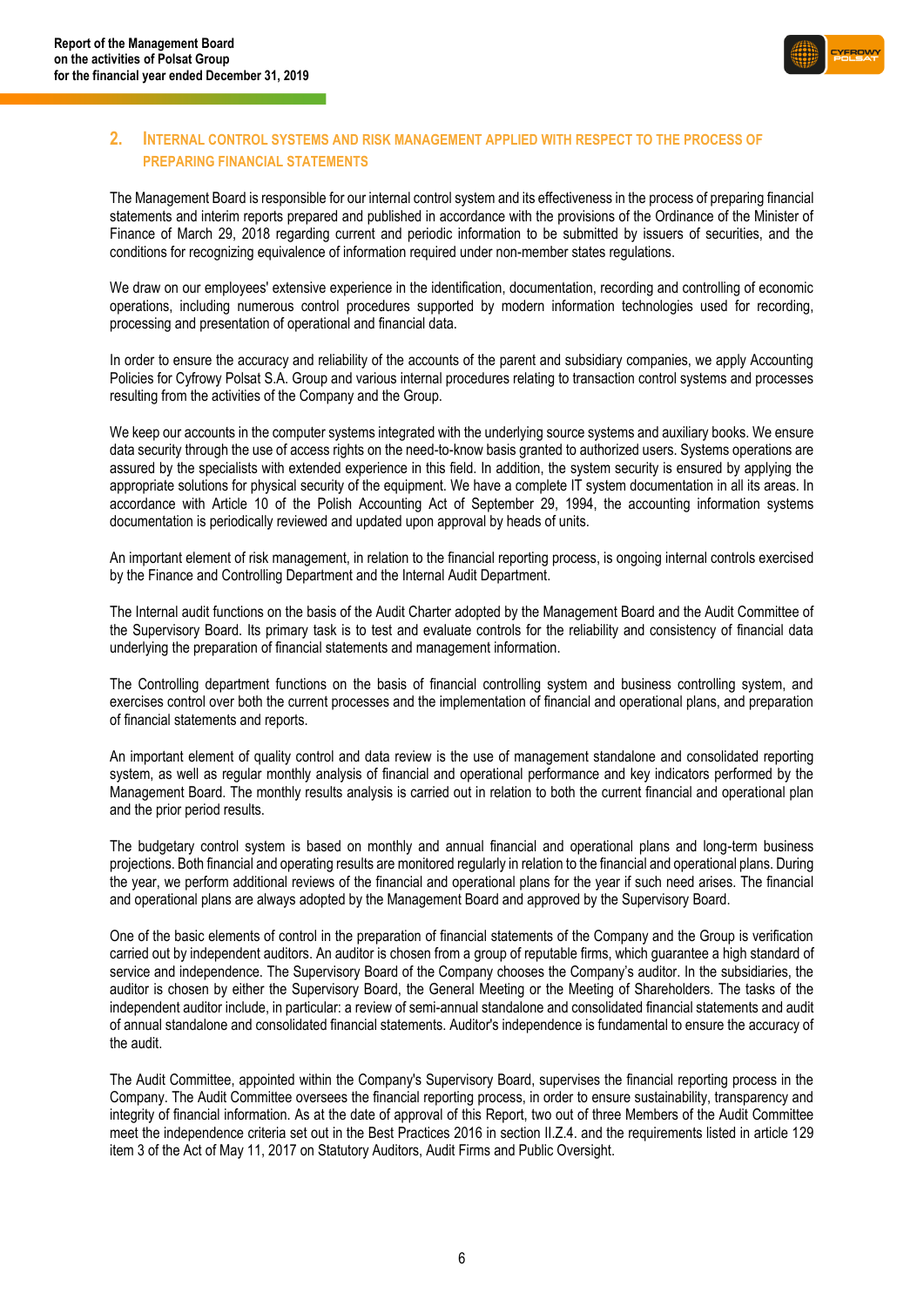

### <span id="page-5-0"></span>**2. INTERNAL CONTROL SYSTEMS AND RISK MANAGEMENT APPLIED WITH RESPECT TO THE PROCESS OF PREPARING FINANCIAL STATEMENTS**

The Management Board is responsible for our internal control system and its effectiveness in the process of preparing financial statements and interim reports prepared and published in accordance with the provisions of the Ordinance of the Minister of Finance of March 29, 2018 regarding current and periodic information to be submitted by issuers of securities, and the conditions for recognizing equivalence of information required under non-member states regulations.

We draw on our employees' extensive experience in the identification, documentation, recording and controlling of economic operations, including numerous control procedures supported by modern information technologies used for recording, processing and presentation of operational and financial data.

In order to ensure the accuracy and reliability of the accounts of the parent and subsidiary companies, we apply Accounting Policies for Cyfrowy Polsat S.A. Group and various internal procedures relating to transaction control systems and processes resulting from the activities of the Company and the Group.

We keep our accounts in the computer systems integrated with the underlying source systems and auxiliary books. We ensure data security through the use of access rights on the need-to-know basis granted to authorized users. Systems operations are assured by the specialists with extended experience in this field. In addition, the system security is ensured by applying the appropriate solutions for physical security of the equipment. We have a complete IT system documentation in all its areas. In accordance with Article 10 of the Polish Accounting Act of September 29, 1994, the accounting information systems documentation is periodically reviewed and updated upon approval by heads of units.

An important element of risk management, in relation to the financial reporting process, is ongoing internal controls exercised by the Finance and Controlling Department and the Internal Audit Department.

The Internal audit functions on the basis of the Audit Charter adopted by the Management Board and the Audit Committee of the Supervisory Board. Its primary task is to test and evaluate controls for the reliability and consistency of financial data underlying the preparation of financial statements and management information.

The Controlling department functions on the basis of financial controlling system and business controlling system, and exercises control over both the current processes and the implementation of financial and operational plans, and preparation of financial statements and reports.

An important element of quality control and data review is the use of management standalone and consolidated reporting system, as well as regular monthly analysis of financial and operational performance and key indicators performed by the Management Board. The monthly results analysis is carried out in relation to both the current financial and operational plan and the prior period results.

The budgetary control system is based on monthly and annual financial and operational plans and long-term business projections. Both financial and operating results are monitored regularly in relation to the financial and operational plans. During the year, we perform additional reviews of the financial and operational plans for the year if such need arises. The financial and operational plans are always adopted by the Management Board and approved by the Supervisory Board.

One of the basic elements of control in the preparation of financial statements of the Company and the Group is verification carried out by independent auditors. An auditor is chosen from a group of reputable firms, which guarantee a high standard of service and independence. The Supervisory Board of the Company chooses the Company's auditor. In the subsidiaries, the auditor is chosen by either the Supervisory Board, the General Meeting or the Meeting of Shareholders. The tasks of the independent auditor include, in particular: a review of semi-annual standalone and consolidated financial statements and audit of annual standalone and consolidated financial statements. Auditor's independence is fundamental to ensure the accuracy of the audit.

The Audit Committee, appointed within the Company's Supervisory Board, supervises the financial reporting process in the Company. The Audit Committee oversees the financial reporting process, in order to ensure sustainability, transparency and integrity of financial information. As at the date of approval of this Report, two out of three Members of the Audit Committee meet the independence criteria set out in the Best Practices 2016 in section II.Z.4. and the requirements listed in article 129 item 3 of the Act of May 11, 2017 on Statutory Auditors, Audit Firms and Public Oversight.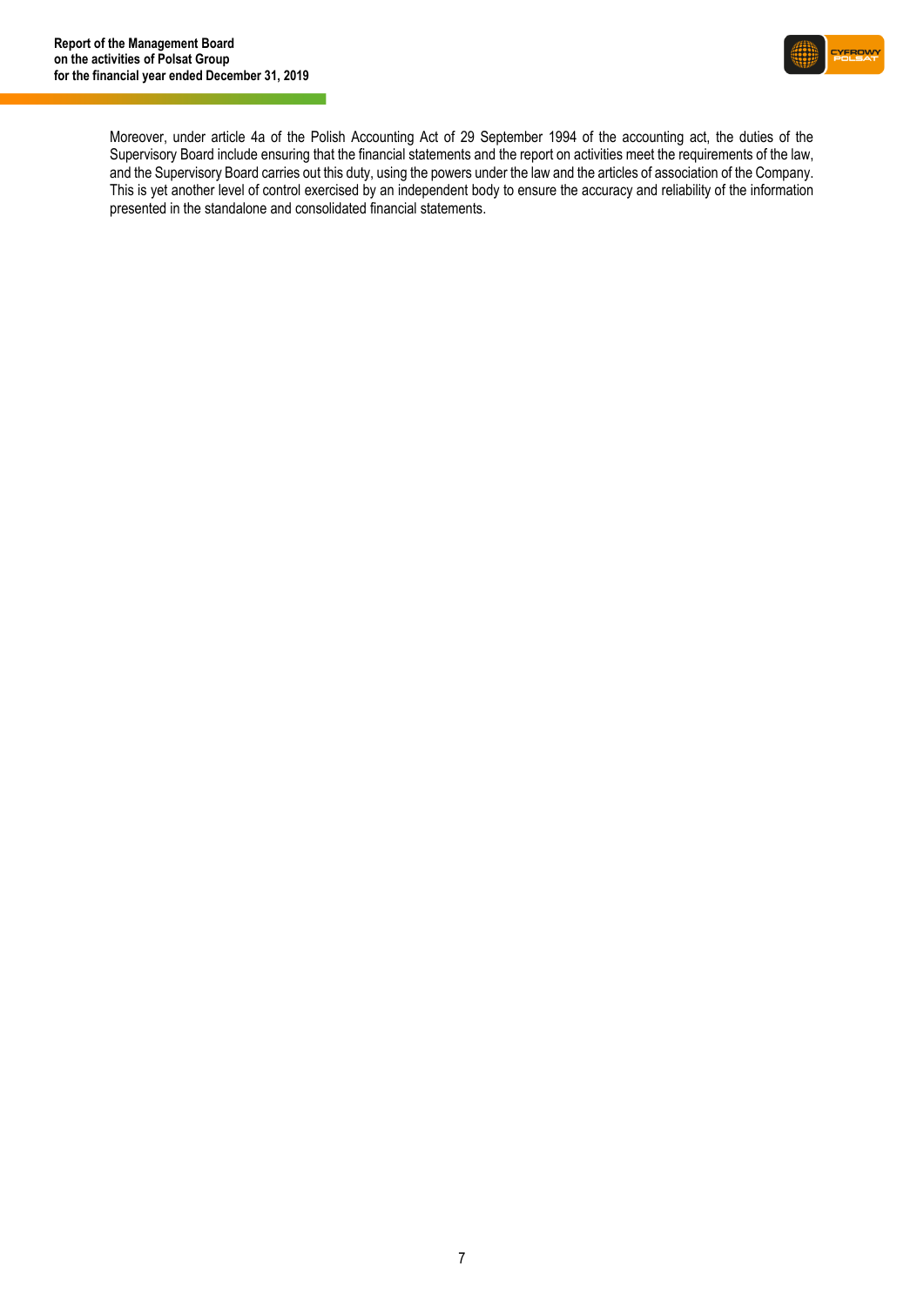

Moreover, under article 4a of the Polish Accounting Act of 29 September 1994 of the accounting act, the duties of the Supervisory Board include ensuring that the financial statements and the report on activities meet the requirements of the law, and the Supervisory Board carries out this duty, using the powers under the law and the articles of association of the Company. This is yet another level of control exercised by an independent body to ensure the accuracy and reliability of the information presented in the standalone and consolidated financial statements.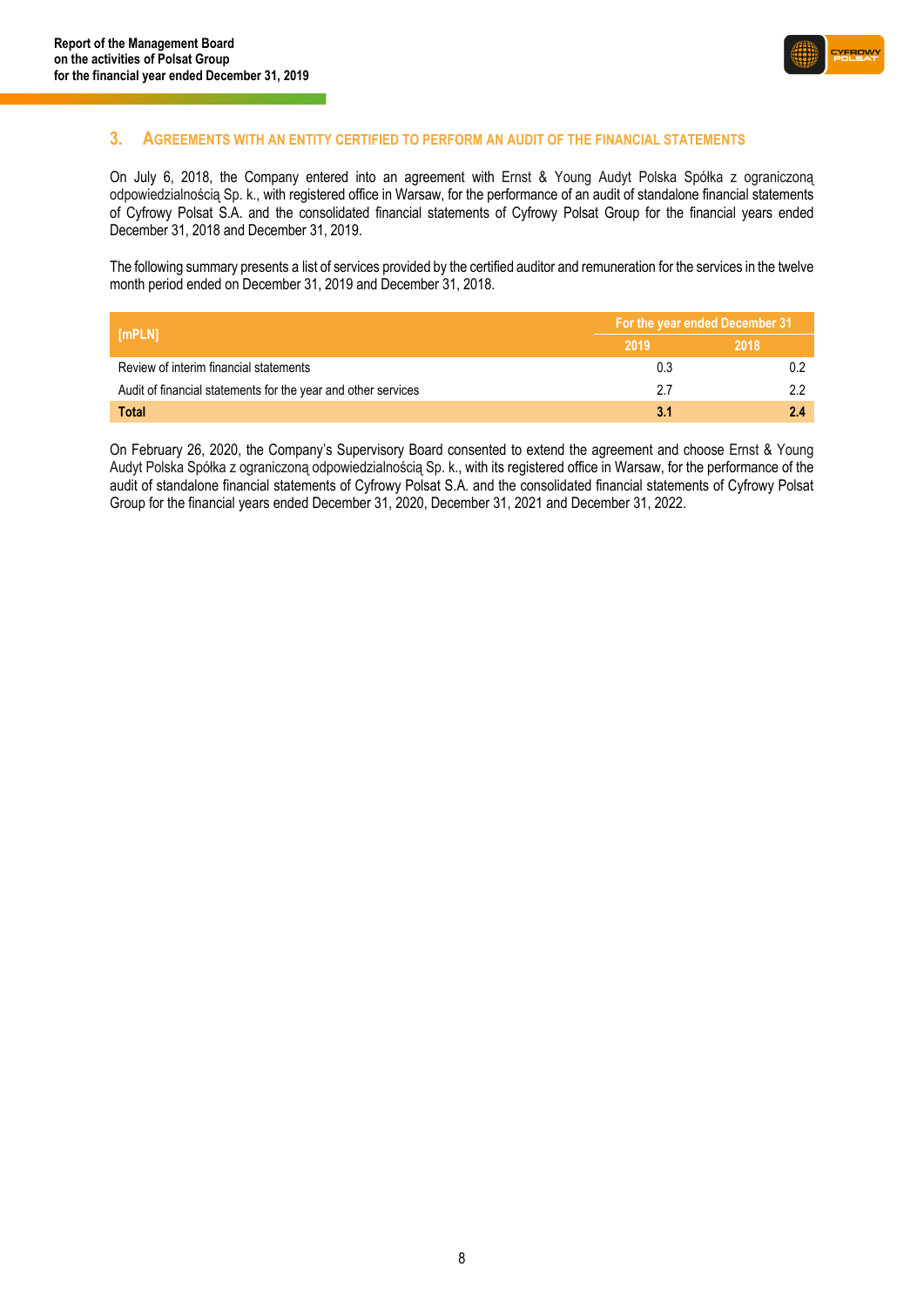

### <span id="page-7-0"></span>**3. AGREEMENTS WITH AN ENTITY CERTIFIED TO PERFORM AN AUDIT OF THE FINANCIAL STATEMENTS**

On July 6, 2018, the Company entered into an agreement with Ernst & Young Audyt Polska Spółka z ograniczoną odpowiedzialnością Sp. k., with registered office in Warsaw, for the performance of an audit of standalone financial statements of Cyfrowy Polsat S.A. and the consolidated financial statements of Cyfrowy Polsat Group for the financial years ended December 31, 2018 and December 31, 2019.

The following summary presents a list of services provided by the certified auditor and remuneration for the services in the twelve month period ended on December 31, 2019 and December 31, 2018.

| [mPLN]                                                        | For the year ended December 31 |      |  |
|---------------------------------------------------------------|--------------------------------|------|--|
|                                                               | 2019                           | 2018 |  |
| Review of interim financial statements                        | 0.3                            |      |  |
| Audit of financial statements for the year and other services | 27                             |      |  |
| <b>Total</b>                                                  | 3.1                            |      |  |

On February 26, 2020, the Company's Supervisory Board consented to extend the agreement and choose Ernst & Young Audyt Polska Spółka z ograniczoną odpowiedzialnością Sp. k., with its registered office in Warsaw, for the performance of the audit of standalone financial statements of Cyfrowy Polsat S.A. and the consolidated financial statements of Cyfrowy Polsat Group for the financial years ended December 31, 2020, December 31, 2021 and December 31, 2022.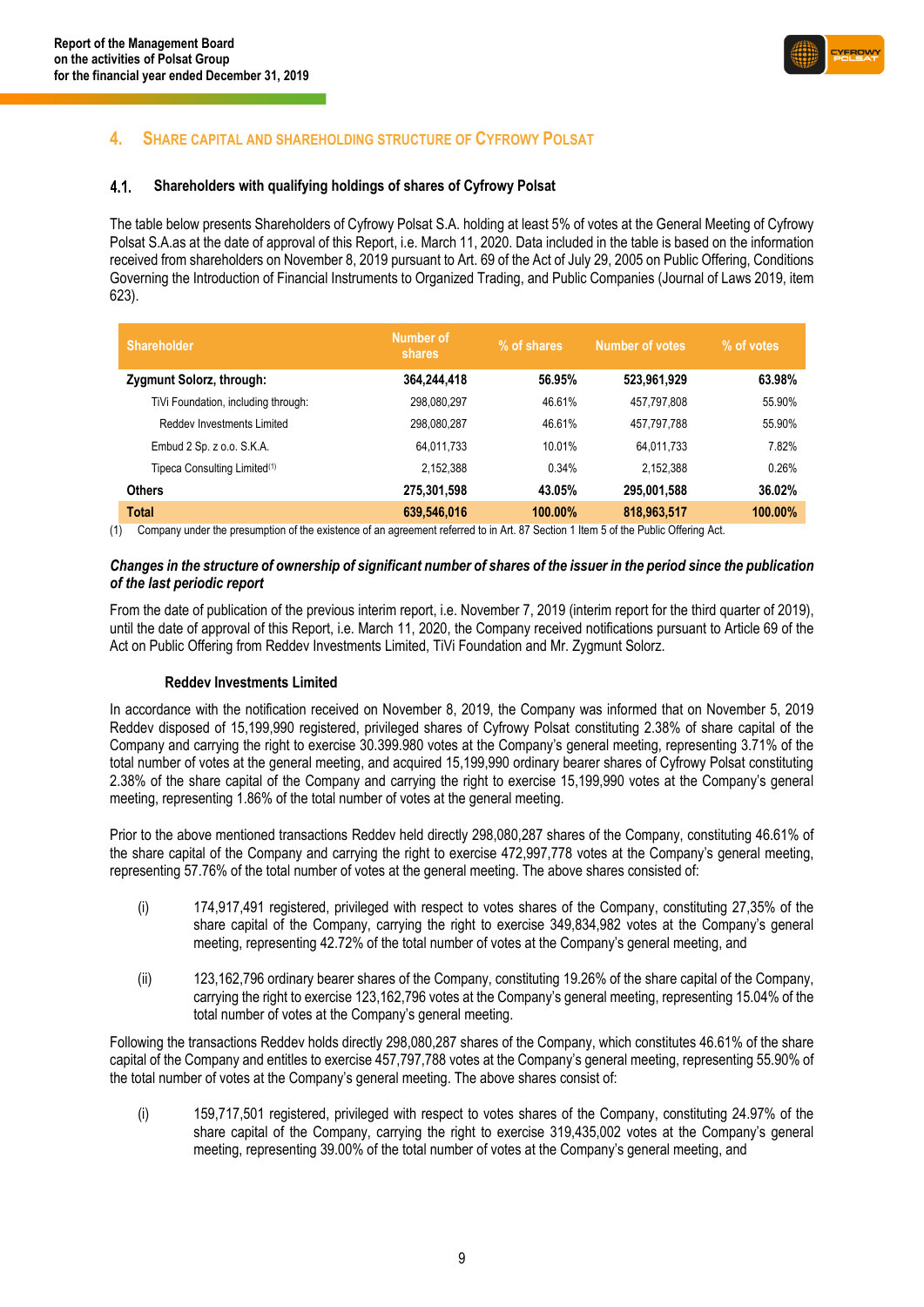

### <span id="page-8-0"></span>**4. SHARE CAPITAL AND SHAREHOLDING STRUCTURE OF CYFROWY POLSAT**

#### $4.1.$ **Shareholders with qualifying holdings of shares of Cyfrowy Polsat**

The table below presents Shareholders of Cyfrowy Polsat S.A. holding at least 5% of votes at the General Meeting of Cyfrowy Polsat S.A.as at the date of approval of this Report, i.e. March 11, 2020. Data included in the table is based on the information received from shareholders on November 8, 2019 pursuant to Art. 69 of the Act of July 29, 2005 on Public Offering, Conditions Governing the Introduction of Financial Instruments to Organized Trading, and Public Companies (Journal of Laws 2019, item 623).

| <b>Shareholder</b>                       | Number of<br>shares | % of shares | <b>Number of votes</b> | % of votes |
|------------------------------------------|---------------------|-------------|------------------------|------------|
| Zygmunt Solorz, through:                 | 364,244,418         | 56.95%      | 523,961,929            | 63.98%     |
| TiVi Foundation, including through:      | 298,080,297         | 46.61%      | 457,797,808            | 55.90%     |
| Reddev Investments Limited               | 298,080,287         | 46.61%      | 457.797.788            | 55.90%     |
| Embud 2 Sp. z o.o. S.K.A.                | 64.011.733          | 10.01%      | 64.011.733             | 7.82%      |
| Tipeca Consulting Limited <sup>(1)</sup> | 2.152.388           | 0.34%       | 2,152,388              | 0.26%      |
| <b>Others</b>                            | 275,301,598         | 43.05%      | 295,001,588            | 36.02%     |
| <b>Total</b>                             | 639,546,016         | 100.00%     | 818,963,517            | 100.00%    |

(1) Company under the presumption of the existence of an agreement referred to in Art. 87 Section 1 Item 5 of the Public Offering Act.

### *Changes in the structure of ownership of significant number of shares of the issuer in the period since the publication of the last periodic report*

From the date of publication of the previous interim report, i.e. November 7, 2019 (interim report for the third quarter of 2019), until the date of approval of this Report, i.e. March 11, 2020, the Company received notifications pursuant to Article 69 of the Act on Public Offering from Reddev Investments Limited, TiVi Foundation and Mr. Zygmunt Solorz.

### **Reddev Investments Limited**

In accordance with the notification received on November 8, 2019, the Company was informed that on November 5, 2019 Reddev disposed of 15,199,990 registered, privileged shares of Cyfrowy Polsat constituting 2.38% of share capital of the Company and carrying the right to exercise 30.399.980 votes at the Company's general meeting, representing 3.71% of the total number of votes at the general meeting, and acquired 15,199,990 ordinary bearer shares of Cyfrowy Polsat constituting 2.38% of the share capital of the Company and carrying the right to exercise 15,199,990 votes at the Company's general meeting, representing 1.86% of the total number of votes at the general meeting.

Prior to the above mentioned transactions Reddev held directly 298,080,287 shares of the Company, constituting 46.61% of the share capital of the Company and carrying the right to exercise 472,997,778 votes at the Company's general meeting, representing 57.76% of the total number of votes at the general meeting. The above shares consisted of:

- (i) 174,917,491 registered, privileged with respect to votes shares of the Company, constituting 27,35% of the share capital of the Company, carrying the right to exercise 349,834,982 votes at the Company's general meeting, representing 42.72% of the total number of votes at the Company's general meeting, and
- (ii) 123,162,796 ordinary bearer shares of the Company, constituting 19.26% of the share capital of the Company, carrying the right to exercise 123,162,796 votes at the Company's general meeting, representing 15.04% of the total number of votes at the Company's general meeting.

Following the transactions Reddev holds directly 298,080,287 shares of the Company, which constitutes 46.61% of the share capital of the Company and entitles to exercise 457,797,788 votes at the Company's general meeting, representing 55.90% of the total number of votes at the Company's general meeting. The above shares consist of:

(i) 159,717,501 registered, privileged with respect to votes shares of the Company, constituting 24.97% of the share capital of the Company, carrying the right to exercise 319,435,002 votes at the Company's general meeting, representing 39.00% of the total number of votes at the Company's general meeting, and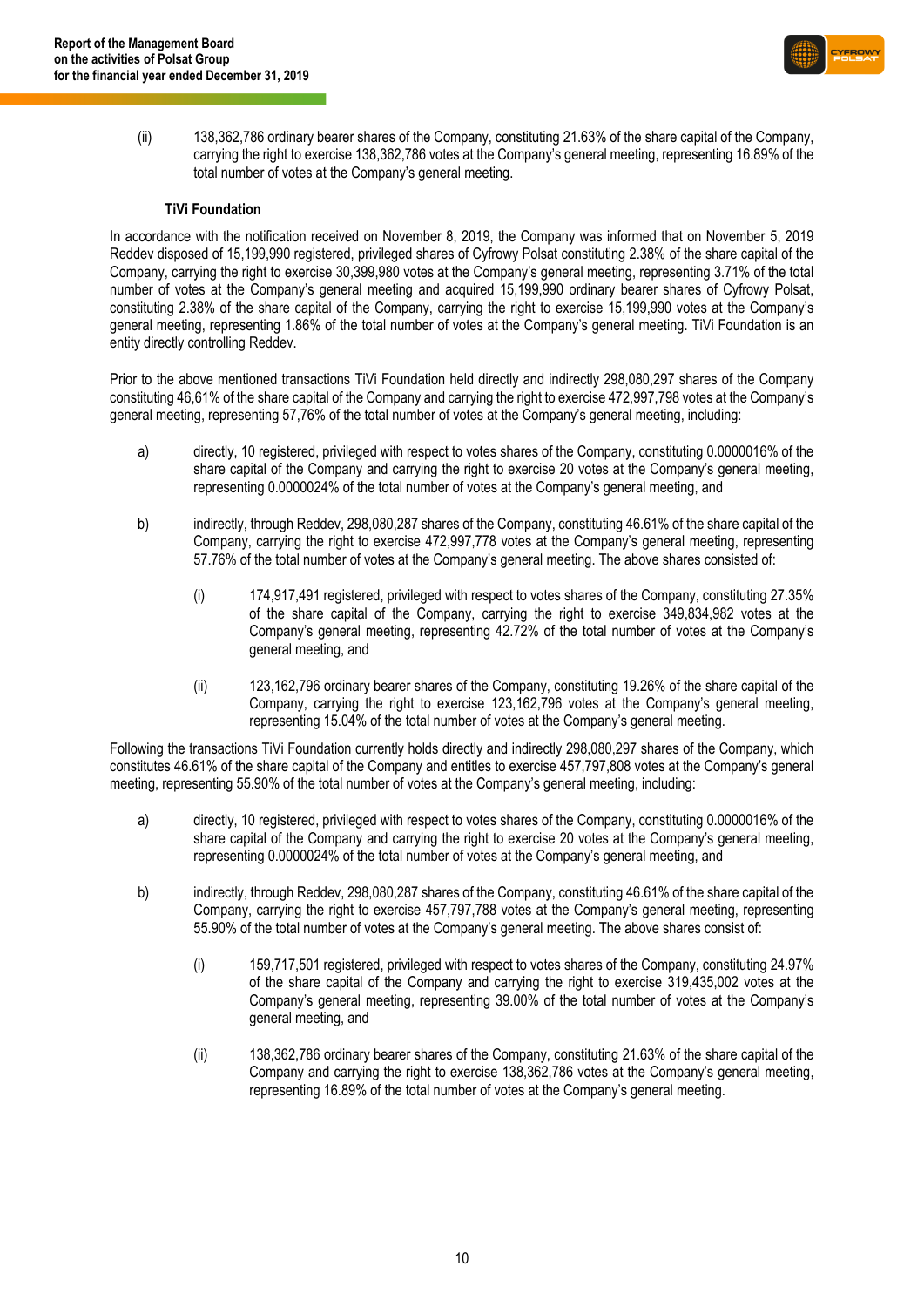

(ii) 138,362,786 ordinary bearer shares of the Company, constituting 21.63% of the share capital of the Company, carrying the right to exercise 138,362,786 votes at the Company's general meeting, representing 16.89% of the total number of votes at the Company's general meeting.

### **TiVi Foundation**

In accordance with the notification received on November 8, 2019, the Company was informed that on November 5, 2019 Reddev disposed of 15,199,990 registered, privileged shares of Cyfrowy Polsat constituting 2.38% of the share capital of the Company, carrying the right to exercise 30,399,980 votes at the Company's general meeting, representing 3.71% of the total number of votes at the Company's general meeting and acquired 15,199,990 ordinary bearer shares of Cyfrowy Polsat, constituting 2.38% of the share capital of the Company, carrying the right to exercise 15,199,990 votes at the Company's general meeting, representing 1.86% of the total number of votes at the Company's general meeting. TiVi Foundation is an entity directly controlling Reddev.

Prior to the above mentioned transactions TiVi Foundation held directly and indirectly 298,080,297 shares of the Company constituting 46,61% of the share capital of the Company and carrying the right to exercise 472,997,798 votes at the Company's general meeting, representing 57,76% of the total number of votes at the Company's general meeting, including:

- a) directly, 10 registered, privileged with respect to votes shares of the Company, constituting 0.0000016% of the share capital of the Company and carrying the right to exercise 20 votes at the Company's general meeting, representing 0.0000024% of the total number of votes at the Company's general meeting, and
- b) indirectly, through Reddev, 298,080,287 shares of the Company, constituting 46.61% of the share capital of the Company, carrying the right to exercise 472,997,778 votes at the Company's general meeting, representing 57.76% of the total number of votes at the Company's general meeting. The above shares consisted of:
	- (i) 174,917,491 registered, privileged with respect to votes shares of the Company, constituting 27.35% of the share capital of the Company, carrying the right to exercise 349,834,982 votes at the Company's general meeting, representing 42.72% of the total number of votes at the Company's general meeting, and
	- (ii) 123,162,796 ordinary bearer shares of the Company, constituting 19.26% of the share capital of the Company, carrying the right to exercise 123,162,796 votes at the Company's general meeting, representing 15.04% of the total number of votes at the Company's general meeting.

Following the transactions TiVi Foundation currently holds directly and indirectly 298,080,297 shares of the Company, which constitutes 46.61% of the share capital of the Company and entitles to exercise 457,797,808 votes at the Company's general meeting, representing 55.90% of the total number of votes at the Company's general meeting, including:

- a) directly, 10 registered, privileged with respect to votes shares of the Company, constituting 0.0000016% of the share capital of the Company and carrying the right to exercise 20 votes at the Company's general meeting, representing 0.0000024% of the total number of votes at the Company's general meeting, and
- b) indirectly, through Reddev, 298,080,287 shares of the Company, constituting 46.61% of the share capital of the Company, carrying the right to exercise 457,797,788 votes at the Company's general meeting, representing 55.90% of the total number of votes at the Company's general meeting. The above shares consist of:
	- (i) 159,717,501 registered, privileged with respect to votes shares of the Company, constituting 24.97% of the share capital of the Company and carrying the right to exercise 319,435,002 votes at the Company's general meeting, representing 39.00% of the total number of votes at the Company's general meeting, and
	- (ii) 138,362,786 ordinary bearer shares of the Company, constituting 21.63% of the share capital of the Company and carrying the right to exercise 138,362,786 votes at the Company's general meeting, representing 16.89% of the total number of votes at the Company's general meeting.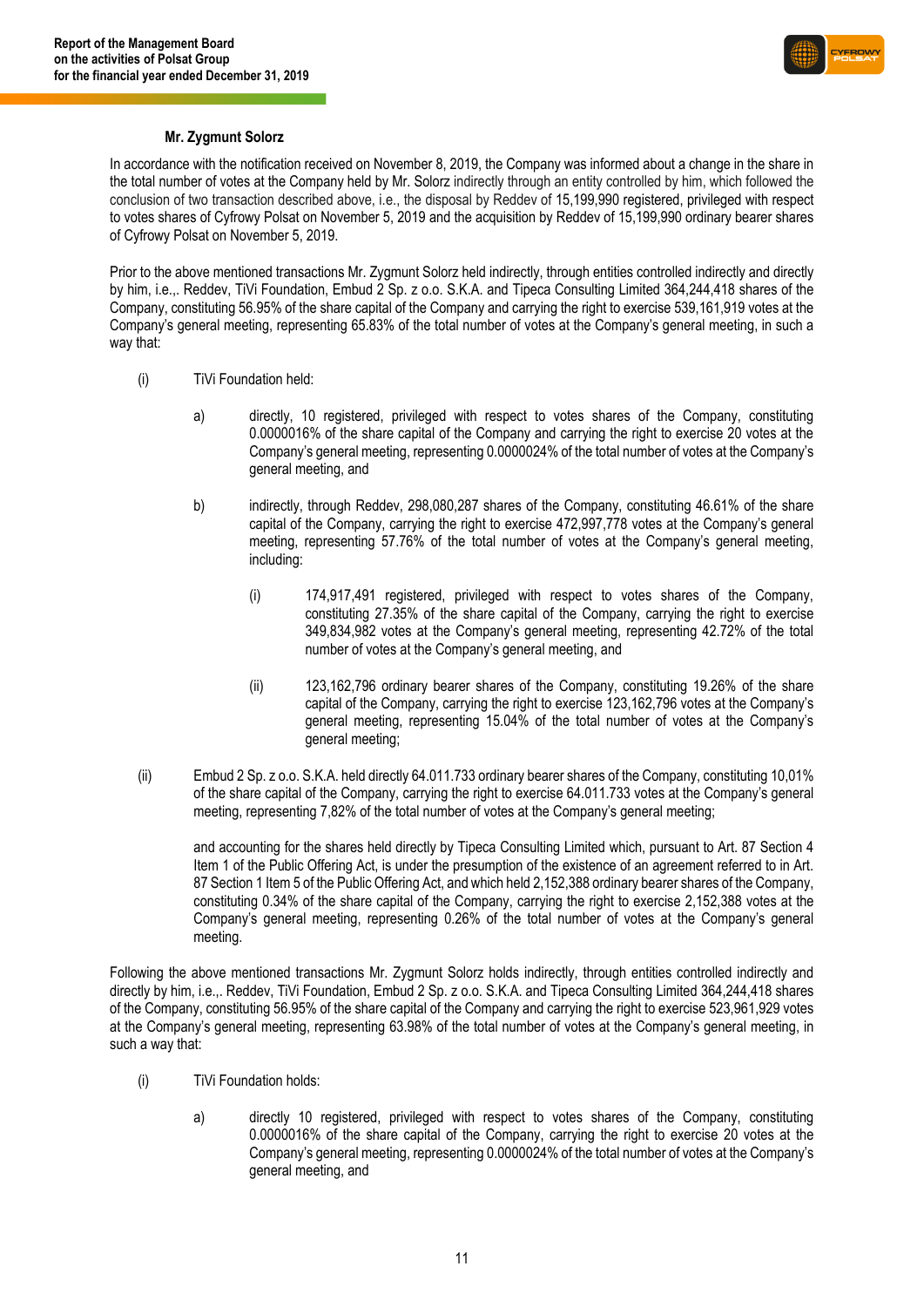

### **Mr. Zygmunt Solorz**

In accordance with the notification received on November 8, 2019, the Company was informed about a change in the share in the total number of votes at the Company held by Mr. Solorz indirectly through an entity controlled by him, which followed the conclusion of two transaction described above, i.e., the disposal by Reddev of 15,199,990 registered, privileged with respect to votes shares of Cyfrowy Polsat on November 5, 2019 and the acquisition by Reddev of 15,199,990 ordinary bearer shares of Cyfrowy Polsat on November 5, 2019.

Prior to the above mentioned transactions Mr. Zygmunt Solorz held indirectly, through entities controlled indirectly and directly by him, i.e.,. Reddev, TiVi Foundation, Embud 2 Sp. z o.o. S.K.A. and Tipeca Consulting Limited 364,244,418 shares of the Company, constituting 56.95% of the share capital of the Company and carrying the right to exercise 539,161,919 votes at the Company's general meeting, representing 65.83% of the total number of votes at the Company's general meeting, in such a way that:

- (i) TiVi Foundation held:
	- a) directly, 10 registered, privileged with respect to votes shares of the Company, constituting 0.0000016% of the share capital of the Company and carrying the right to exercise 20 votes at the Company's general meeting, representing 0.0000024% of the total number of votes at the Company's general meeting, and
	- b) indirectly, through Reddev, 298,080,287 shares of the Company, constituting 46.61% of the share capital of the Company, carrying the right to exercise 472,997,778 votes at the Company's general meeting, representing 57.76% of the total number of votes at the Company's general meeting, including:
		- (i) 174,917,491 registered, privileged with respect to votes shares of the Company, constituting 27.35% of the share capital of the Company, carrying the right to exercise 349,834,982 votes at the Company's general meeting, representing 42.72% of the total number of votes at the Company's general meeting, and
		- (ii) 123,162,796 ordinary bearer shares of the Company, constituting 19.26% of the share capital of the Company, carrying the right to exercise 123,162,796 votes at the Company's general meeting, representing 15.04% of the total number of votes at the Company's general meeting;
- (ii) Embud 2 Sp. z o.o. S.K.A. held directly 64.011.733 ordinary bearer shares of the Company, constituting 10,01% of the share capital of the Company, carrying the right to exercise 64.011.733 votes at the Company's general meeting, representing 7,82% of the total number of votes at the Company's general meeting;

and accounting for the shares held directly by Tipeca Consulting Limited which, pursuant to Art. 87 Section 4 Item 1 of the Public Offering Act, is under the presumption of the existence of an agreement referred to in Art. 87 Section 1 Item 5 of the Public Offering Act, and which held 2,152,388 ordinary bearer shares of the Company, constituting 0.34% of the share capital of the Company, carrying the right to exercise 2,152,388 votes at the Company's general meeting, representing 0.26% of the total number of votes at the Company's general meeting.

Following the above mentioned transactions Mr. Zygmunt Solorz holds indirectly, through entities controlled indirectly and directly by him, i.e.,. Reddev, TiVi Foundation, Embud 2 Sp. z o.o. S.K.A. and Tipeca Consulting Limited 364,244,418 shares of the Company, constituting 56.95% of the share capital of the Company and carrying the right to exercise 523,961,929 votes at the Company's general meeting, representing 63.98% of the total number of votes at the Company's general meeting, in such a way that:

- (i) TiVi Foundation holds:
	- a) directly 10 registered, privileged with respect to votes shares of the Company, constituting 0.0000016% of the share capital of the Company, carrying the right to exercise 20 votes at the Company's general meeting, representing 0.0000024% of the total number of votes at the Company's general meeting, and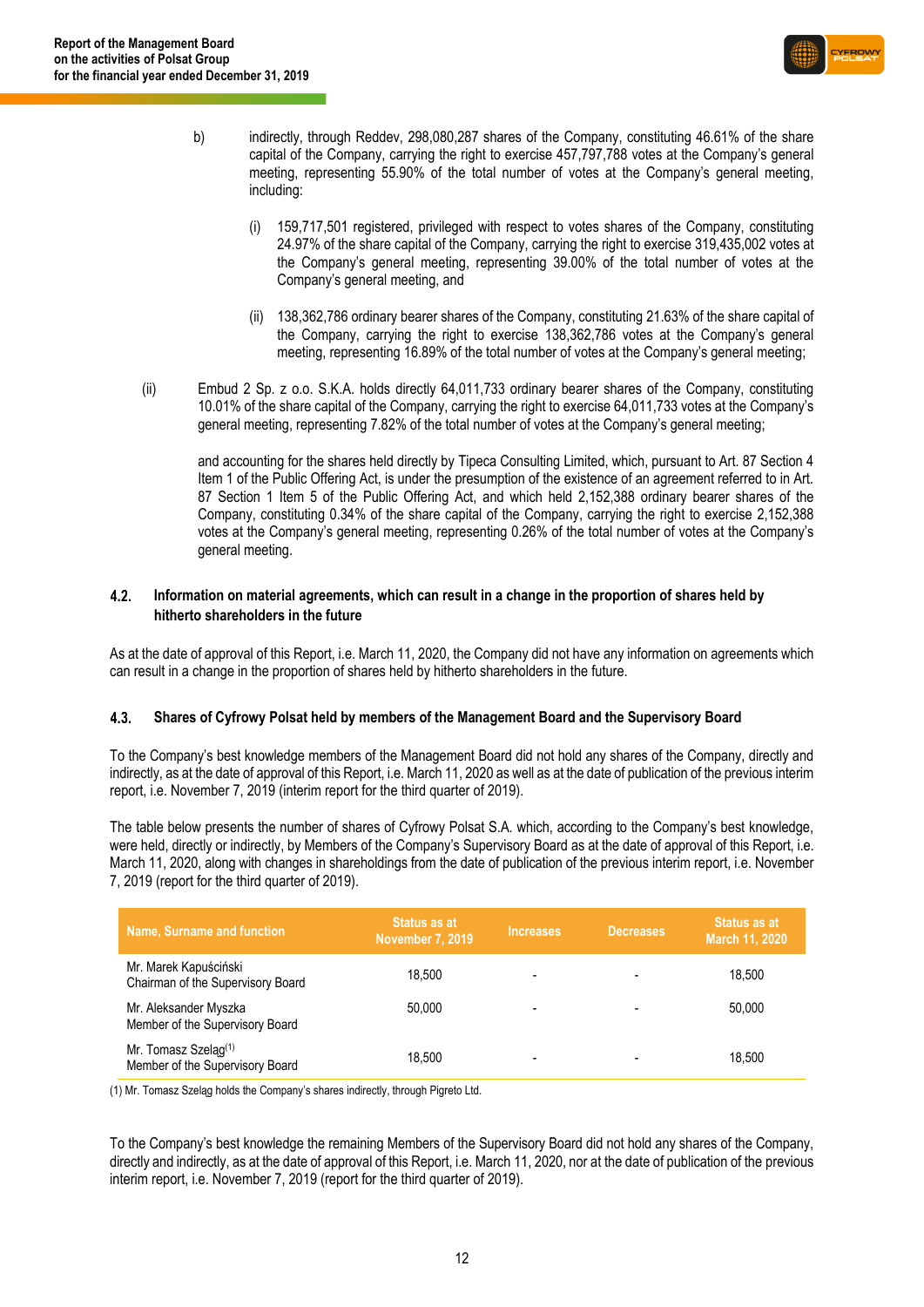

- b) indirectly, through Reddev, 298,080,287 shares of the Company, constituting 46.61% of the share capital of the Company, carrying the right to exercise 457,797,788 votes at the Company's general meeting, representing 55.90% of the total number of votes at the Company's general meeting, including:
	- (i) 159,717,501 registered, privileged with respect to votes shares of the Company, constituting 24.97% of the share capital of the Company, carrying the right to exercise 319,435,002 votes at the Company's general meeting, representing 39.00% of the total number of votes at the Company's general meeting, and
	- (ii) 138,362,786 ordinary bearer shares of the Company, constituting 21.63% of the share capital of the Company, carrying the right to exercise 138,362,786 votes at the Company's general meeting, representing 16.89% of the total number of votes at the Company's general meeting;
- (ii) Embud 2 Sp. z o.o. S.K.A. holds directly 64,011,733 ordinary bearer shares of the Company, constituting 10.01% of the share capital of the Company, carrying the right to exercise 64,011,733 votes at the Company's general meeting, representing 7.82% of the total number of votes at the Company's general meeting;

and accounting for the shares held directly by Tipeca Consulting Limited, which, pursuant to Art. 87 Section 4 Item 1 of the Public Offering Act, is under the presumption of the existence of an agreement referred to in Art. 87 Section 1 Item 5 of the Public Offering Act, and which held 2,152,388 ordinary bearer shares of the Company, constituting 0.34% of the share capital of the Company, carrying the right to exercise 2,152,388 votes at the Company's general meeting, representing 0.26% of the total number of votes at the Company's general meeting.

#### $4.2.$ **Information on material agreements, which can result in a change in the proportion of shares held by hitherto shareholders in the future**

As at the date of approval of this Report, i.e. March 11, 2020, the Company did not have any information on agreements which can result in a change in the proportion of shares held by hitherto shareholders in the future.

#### 4.3. **Shares of Cyfrowy Polsat held by members of the Management Board and the Supervisory Board**

To the Company's best knowledge members of the Management Board did not hold any shares of the Company, directly and indirectly, as at the date of approval of this Report, i.e. March 11, 2020 as well as at the date of publication of the previous interim report, i.e. November 7, 2019 (interim report for the third quarter of 2019).

The table below presents the number of shares of Cyfrowy Polsat S.A. which, according to the Company's best knowledge, were held, directly or indirectly, by Members of the Company's Supervisory Board as at the date of approval of this Report, i.e. March 11, 2020, along with changes in shareholdings from the date of publication of the previous interim report, i.e. November 7, 2019 (report for the third quarter of 2019).

| Name, Surname and function                                          | Status as at<br><b>November 7, 2019</b> | <b>Increases</b> | <b>Decreases</b> | Status as at<br>March 11, 2020 |
|---------------------------------------------------------------------|-----------------------------------------|------------------|------------------|--------------------------------|
| Mr. Marek Kapuściński<br>Chairman of the Supervisory Board          | 18.500                                  |                  |                  | 18.500                         |
| Mr. Aleksander Myszka<br>Member of the Supervisory Board            | 50.000                                  | -                |                  | 50.000                         |
| Mr. Tomasz Szeląg <sup>(1)</sup><br>Member of the Supervisory Board | 18.500                                  | -                |                  | 18.500                         |

(1) Mr. Tomasz Szeląg holds the Company's shares indirectly, through Pigreto Ltd.

To the Company's best knowledge the remaining Members of the Supervisory Board did not hold any shares of the Company, directly and indirectly, as at the date of approval of this Report, i.e. March 11, 2020, nor at the date of publication of the previous interim report, i.e. November 7, 2019 (report for the third quarter of 2019).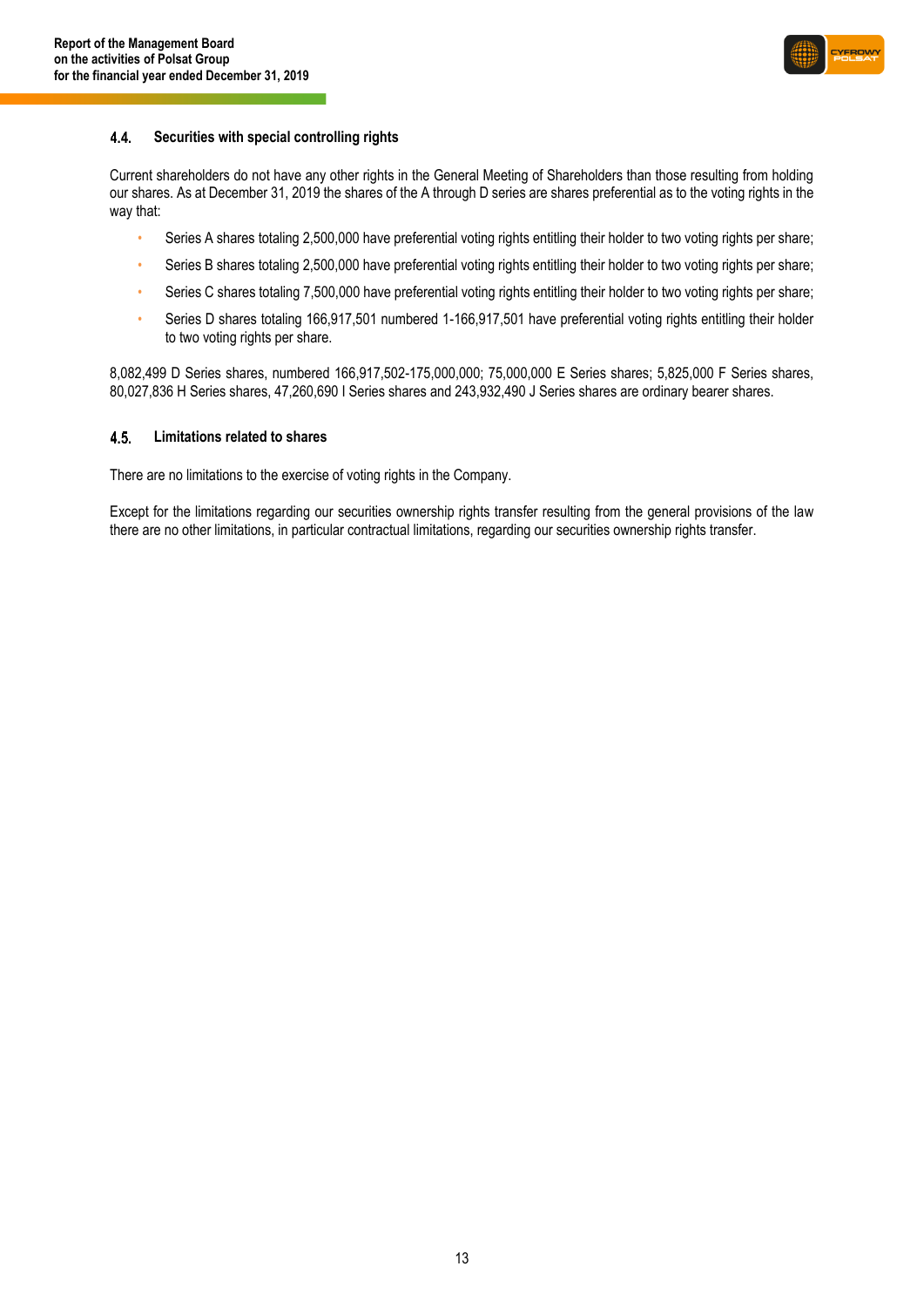

#### $4.4.$ **Securities with special controlling rights**

Current shareholders do not have any other rights in the General Meeting of Shareholders than those resulting from holding our shares. As at December 31, 2019 the shares of the A through D series are shares preferential as to the voting rights in the way that:

- Series A shares totaling 2,500,000 have preferential voting rights entitling their holder to two voting rights per share;
- Series B shares totaling 2,500,000 have preferential voting rights entitling their holder to two voting rights per share;
- Series C shares totaling 7,500,000 have preferential voting rights entitling their holder to two voting rights per share;
- Series D shares totaling 166,917,501 numbered 1-166,917,501 have preferential voting rights entitling their holder to two voting rights per share.

8,082,499 D Series shares, numbered 166,917,502-175,000,000; 75,000,000 E Series shares; 5,825,000 F Series shares, 80,027,836 H Series shares, 47,260,690 I Series shares and 243,932,490 J Series shares are ordinary bearer shares.

#### $4.5$ **Limitations related to shares**

There are no limitations to the exercise of voting rights in the Company.

Except for the limitations regarding our securities ownership rights transfer resulting from the general provisions of the law there are no other limitations, in particular contractual limitations, regarding our securities ownership rights transfer.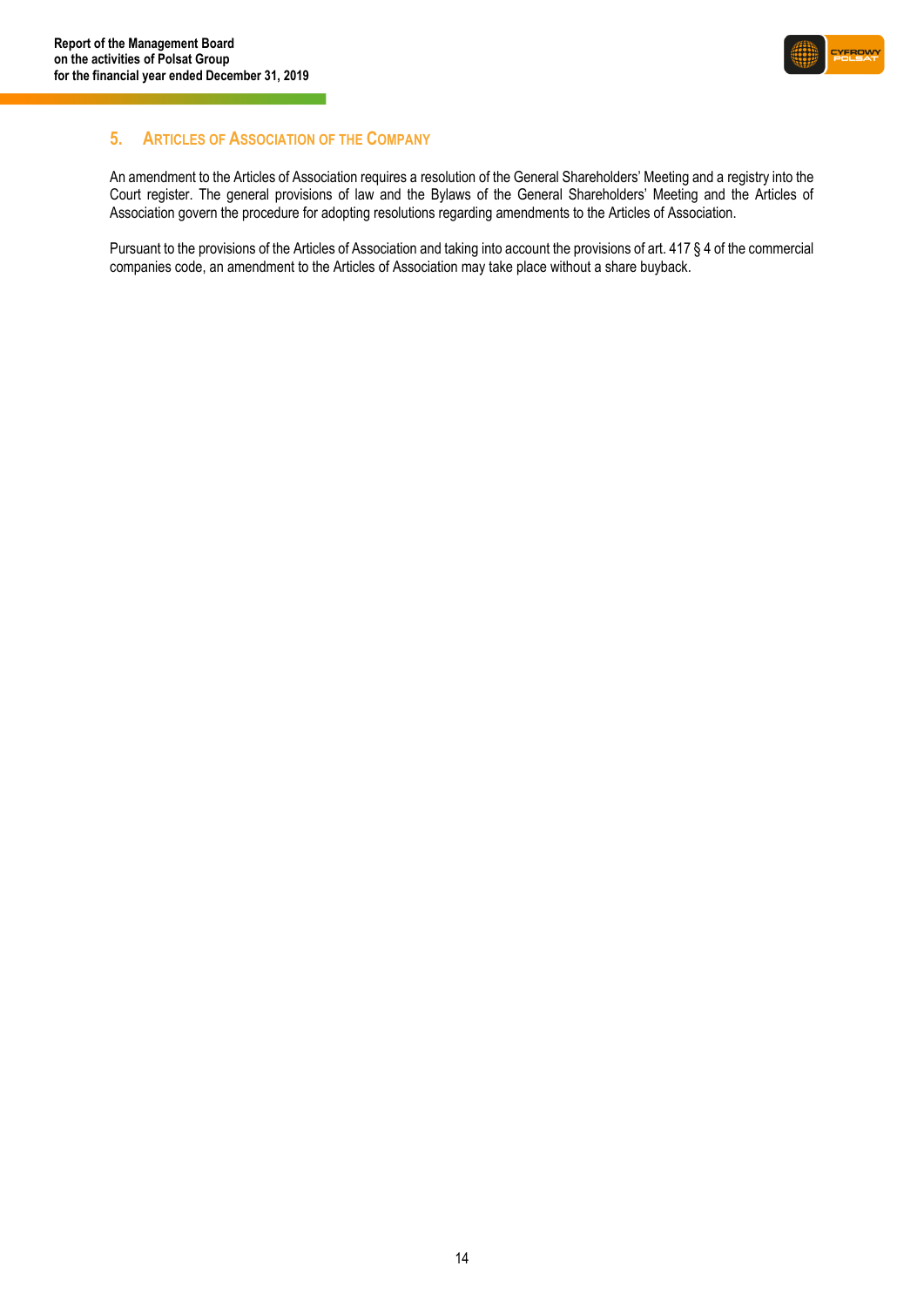

### <span id="page-13-0"></span>**5. ARTICLES OF ASSOCIATION OF THE COMPANY**

An amendment to the Articles of Association requires a resolution of the General Shareholders' Meeting and a registry into the Court register. The general provisions of law and the Bylaws of the General Shareholders' Meeting and the Articles of Association govern the procedure for adopting resolutions regarding amendments to the Articles of Association.

Pursuant to the provisions of the Articles of Association and taking into account the provisions of art. 417 § 4 of the commercial companies code, an amendment to the Articles of Association may take place without a share buyback.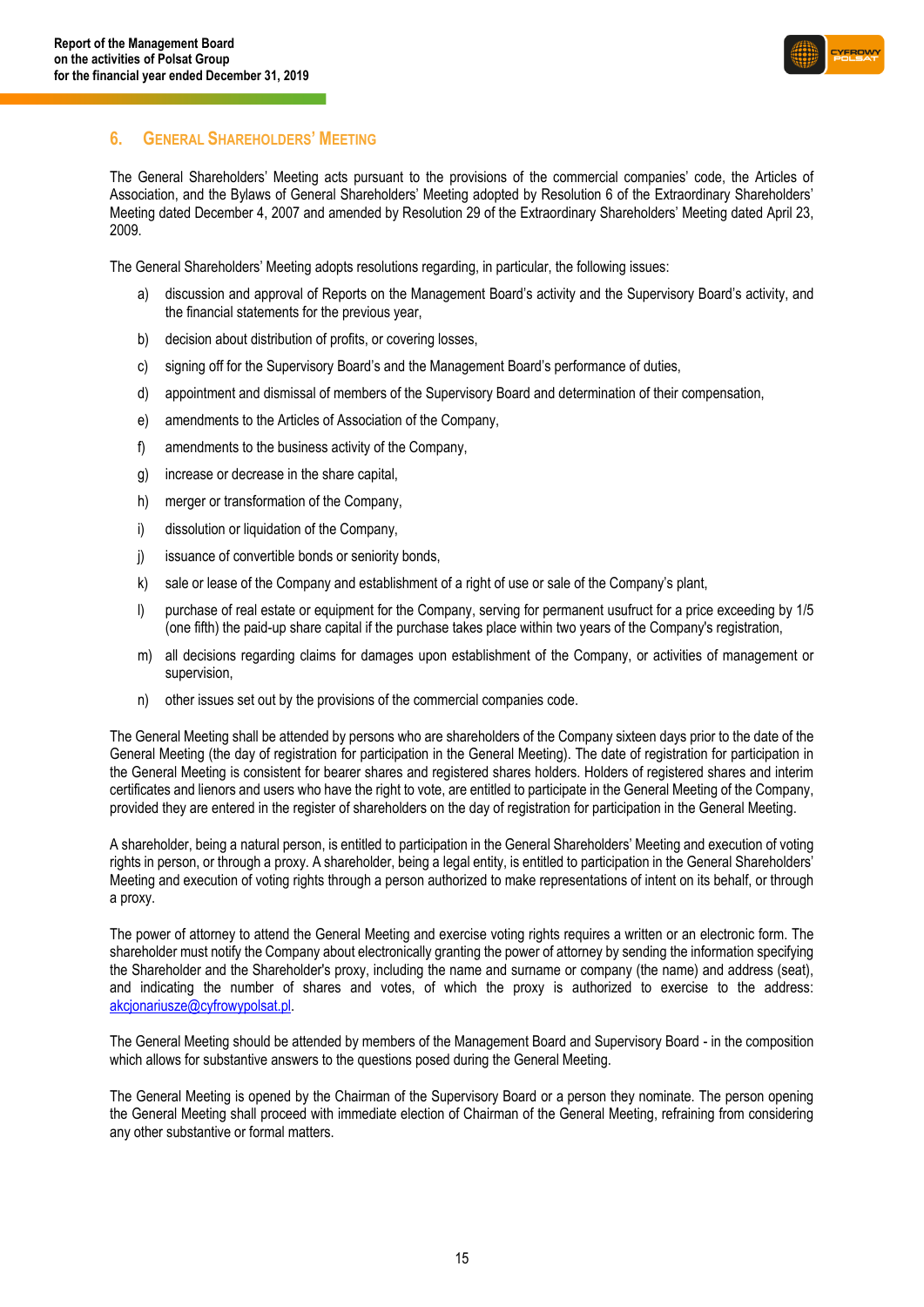

### <span id="page-14-0"></span>**6. GENERAL SHAREHOLDERS' MEETING**

The General Shareholders' Meeting acts pursuant to the provisions of the commercial companies' code, the Articles of Association, and the Bylaws of General Shareholders' Meeting adopted by Resolution 6 of the Extraordinary Shareholders' Meeting dated December 4, 2007 and amended by Resolution 29 of the Extraordinary Shareholders' Meeting dated April 23, 2009.

The General Shareholders' Meeting adopts resolutions regarding, in particular, the following issues:

- a) discussion and approval of Reports on the Management Board's activity and the Supervisory Board's activity, and the financial statements for the previous year,
- b) decision about distribution of profits, or covering losses,
- c) signing off for the Supervisory Board's and the Management Board's performance of duties,
- d) appointment and dismissal of members of the Supervisory Board and determination of their compensation,
- e) amendments to the Articles of Association of the Company,
- f) amendments to the business activity of the Company,
- g) increase or decrease in the share capital,
- h) merger or transformation of the Company,
- i) dissolution or liquidation of the Company,
- j) issuance of convertible bonds or seniority bonds,
- k) sale or lease of the Company and establishment of a right of use or sale of the Company's plant,
- l) purchase of real estate or equipment for the Company, serving for permanent usufruct for a price exceeding by 1/5 (one fifth) the paid-up share capital if the purchase takes place within two years of the Company's registration,
- m) all decisions regarding claims for damages upon establishment of the Company, or activities of management or supervision,
- n) other issues set out by the provisions of the commercial companies code.

The General Meeting shall be attended by persons who are shareholders of the Company sixteen days prior to the date of the General Meeting (the day of registration for participation in the General Meeting). The date of registration for participation in the General Meeting is consistent for bearer shares and registered shares holders. Holders of registered shares and interim certificates and lienors and users who have the right to vote, are entitled to participate in the General Meeting of the Company, provided they are entered in the register of shareholders on the day of registration for participation in the General Meeting.

A shareholder, being a natural person, is entitled to participation in the General Shareholders' Meeting and execution of voting rights in person, or through a proxy. A shareholder, being a legal entity, is entitled to participation in the General Shareholders' Meeting and execution of voting rights through a person authorized to make representations of intent on its behalf, or through a proxy.

The power of attorney to attend the General Meeting and exercise voting rights requires a written or an electronic form. The shareholder must notify the Company about electronically granting the power of attorney by sending the information specifying the Shareholder and the Shareholder's proxy, including the name and surname or company (the name) and address (seat), and indicating the number of shares and votes, of which the proxy is authorized to exercise to the address: [akcjonariusze@cyfrowypolsat.pl.](mailto:akcjonariusze@cyfrowypolsat.pl)

The General Meeting should be attended by members of the Management Board and Supervisory Board - in the composition which allows for substantive answers to the questions posed during the General Meeting.

The General Meeting is opened by the Chairman of the Supervisory Board or a person they nominate. The person opening the General Meeting shall proceed with immediate election of Chairman of the General Meeting, refraining from considering any other substantive or formal matters.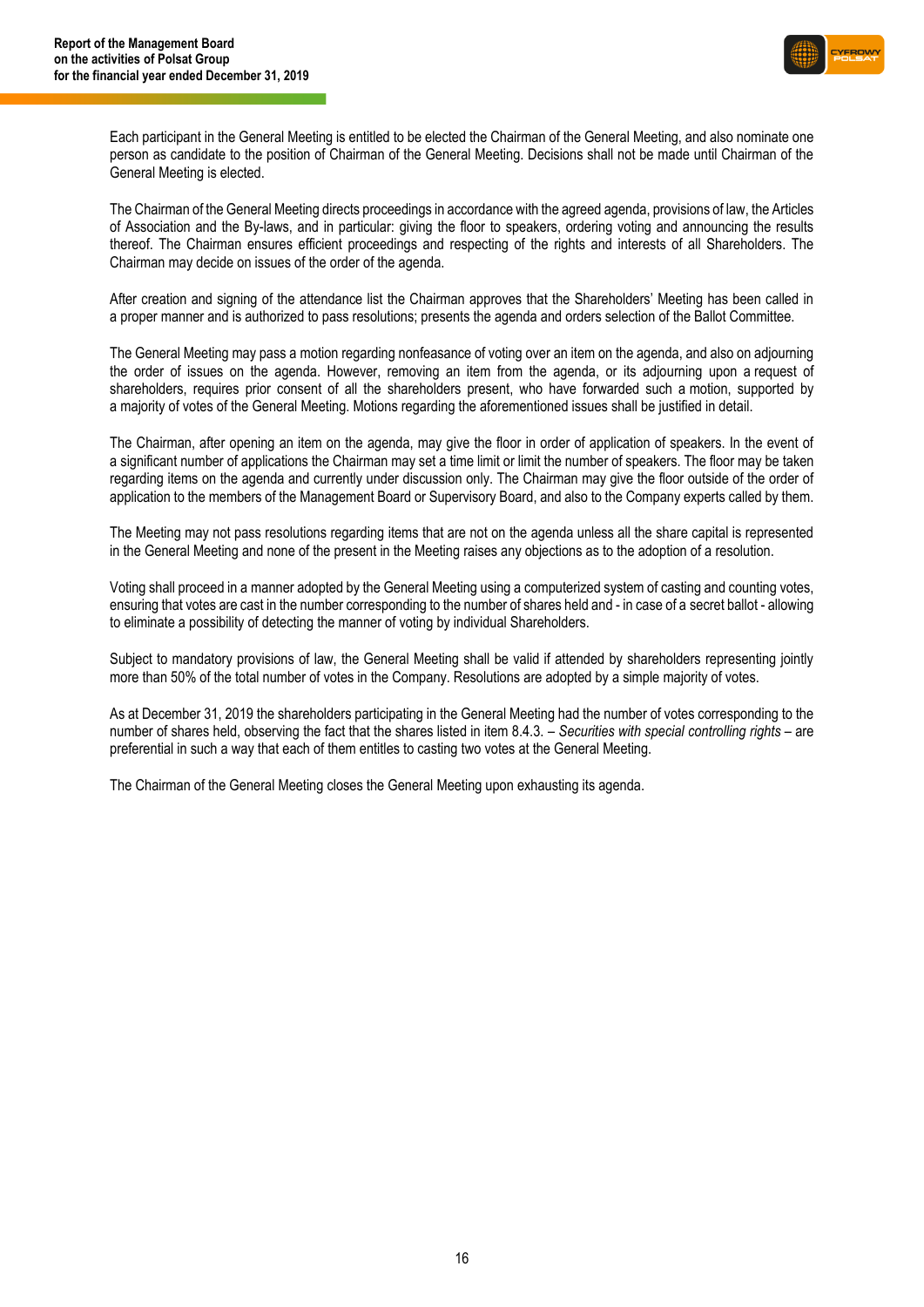

Each participant in the General Meeting is entitled to be elected the Chairman of the General Meeting, and also nominate one person as candidate to the position of Chairman of the General Meeting. Decisions shall not be made until Chairman of the General Meeting is elected.

The Chairman of the General Meeting directs proceedings in accordance with the agreed agenda, provisions of law, the Articles of Association and the By-laws, and in particular: giving the floor to speakers, ordering voting and announcing the results thereof. The Chairman ensures efficient proceedings and respecting of the rights and interests of all Shareholders. The Chairman may decide on issues of the order of the agenda.

After creation and signing of the attendance list the Chairman approves that the Shareholders' Meeting has been called in a proper manner and is authorized to pass resolutions; presents the agenda and orders selection of the Ballot Committee.

The General Meeting may pass a motion regarding nonfeasance of voting over an item on the agenda, and also on adjourning the order of issues on the agenda. However, removing an item from the agenda, or its adjourning upon a request of shareholders, requires prior consent of all the shareholders present, who have forwarded such a motion, supported by a majority of votes of the General Meeting. Motions regarding the aforementioned issues shall be justified in detail.

The Chairman, after opening an item on the agenda, may give the floor in order of application of speakers. In the event of a significant number of applications the Chairman may set a time limit or limit the number of speakers. The floor may be taken regarding items on the agenda and currently under discussion only. The Chairman may give the floor outside of the order of application to the members of the Management Board or Supervisory Board, and also to the Company experts called by them.

The Meeting may not pass resolutions regarding items that are not on the agenda unless all the share capital is represented in the General Meeting and none of the present in the Meeting raises any objections as to the adoption of a resolution.

Voting shall proceed in a manner adopted by the General Meeting using a computerized system of casting and counting votes, ensuring that votes are cast in the number corresponding to the number of shares held and - in case of a secret ballot - allowing to eliminate a possibility of detecting the manner of voting by individual Shareholders.

Subject to mandatory provisions of law, the General Meeting shall be valid if attended by shareholders representing jointly more than 50% of the total number of votes in the Company. Resolutions are adopted by a simple majority of votes.

As at December 31, 2019 the shareholders participating in the General Meeting had the number of votes corresponding to the number of shares held, observing the fact that the shares listed in item 8.4.3. – *Securities with special controlling rights* – are preferential in such a way that each of them entitles to casting two votes at the General Meeting.

The Chairman of the General Meeting closes the General Meeting upon exhausting its agenda.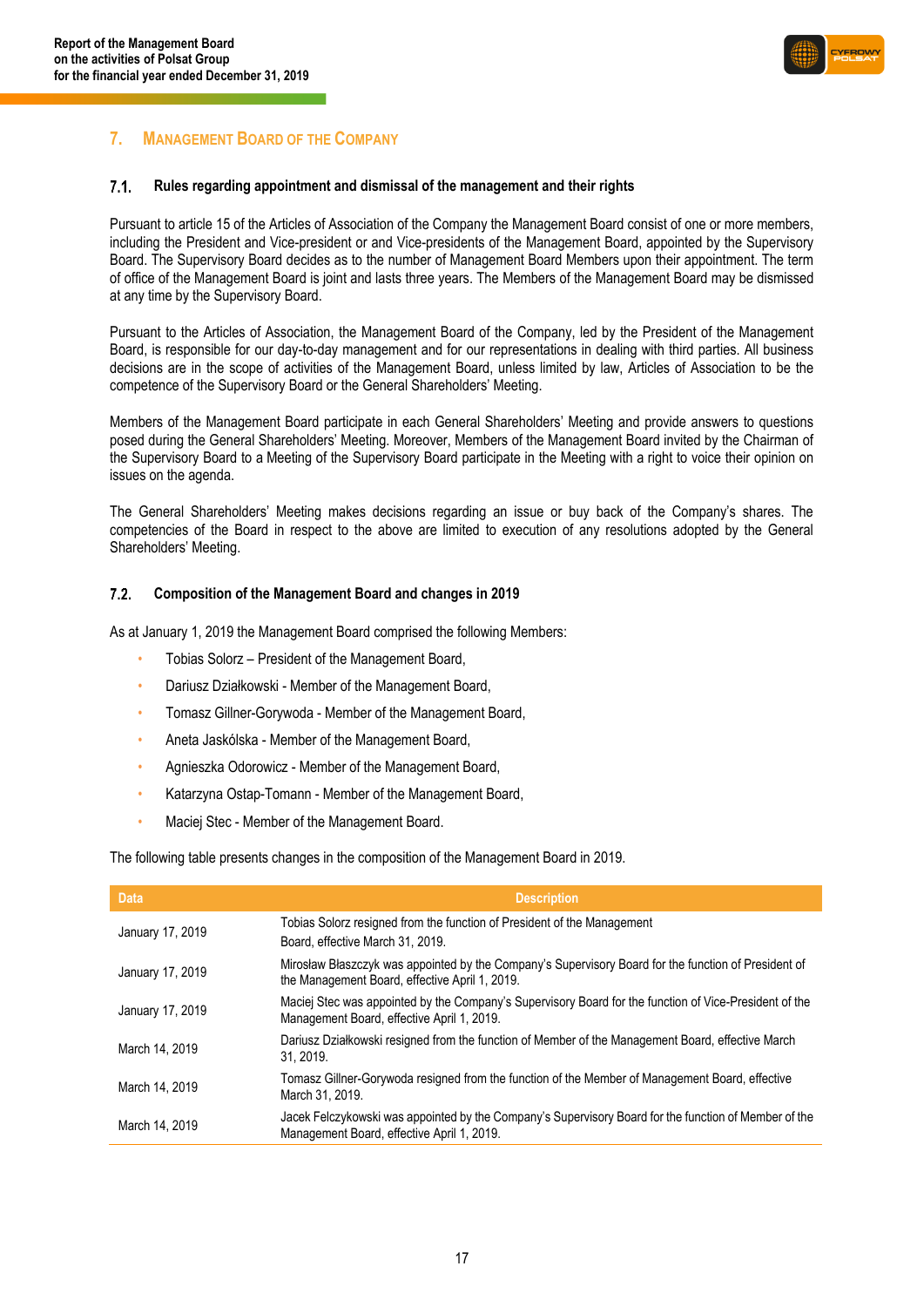

### <span id="page-16-0"></span>**7. MANAGEMENT BOARD OF THE COMPANY**

#### $7.1.$ **Rules regarding appointment and dismissal of the management and their rights**

Pursuant to article 15 of the Articles of Association of the Company the Management Board consist of one or more members, including the President and Vice-president or and Vice-presidents of the Management Board, appointed by the Supervisory Board. The Supervisory Board decides as to the number of Management Board Members upon their appointment. The term of office of the Management Board is joint and lasts three years. The Members of the Management Board may be dismissed at any time by the Supervisory Board.

Pursuant to the Articles of Association, the Management Board of the Company, led by the President of the Management Board, is responsible for our day-to-day management and for our representations in dealing with third parties. All business decisions are in the scope of activities of the Management Board, unless limited by law, Articles of Association to be the competence of the Supervisory Board or the General Shareholders' Meeting.

Members of the Management Board participate in each General Shareholders' Meeting and provide answers to questions posed during the General Shareholders' Meeting. Moreover, Members of the Management Board invited by the Chairman of the Supervisory Board to a Meeting of the Supervisory Board participate in the Meeting with a right to voice their opinion on issues on the agenda.

The General Shareholders' Meeting makes decisions regarding an issue or buy back of the Company's shares. The competencies of the Board in respect to the above are limited to execution of any resolutions adopted by the General Shareholders' Meeting.

#### $7.2.$ **Composition of the Management Board and changes in 2019**

As at January 1, 2019 the Management Board comprised the following Members:

- Tobias Solorz President of the Management Board,
- Dariusz Działkowski Member of the Management Board,
- Tomasz Gillner-Gorywoda Member of the Management Board,
- Aneta Jaskólska Member of the Management Board,
- Agnieszka Odorowicz Member of the Management Board,
- Katarzyna Ostap-Tomann Member of the Management Board,
- Maciej Stec Member of the Management Board.

The following table presents changes in the composition of the Management Board in 2019.

| <b>Data</b>      | <b>Description</b>                                                                                                                                     |
|------------------|--------------------------------------------------------------------------------------------------------------------------------------------------------|
| January 17, 2019 | Tobias Solorz resigned from the function of President of the Management<br>Board, effective March 31, 2019.                                            |
| January 17, 2019 | Mirosław Błaszczyk was appointed by the Company's Supervisory Board for the function of President of<br>the Management Board, effective April 1, 2019. |
| January 17, 2019 | Maciej Stec was appointed by the Company's Supervisory Board for the function of Vice-President of the<br>Management Board, effective April 1, 2019.   |
| March 14, 2019   | Dariusz Działkowski resigned from the function of Member of the Management Board, effective March<br>31.2019.                                          |
| March 14, 2019   | Tomasz Gillner-Gorywoda resigned from the function of the Member of Management Board, effective<br>March 31, 2019.                                     |
| March 14, 2019   | Jacek Felczykowski was appointed by the Company's Supervisory Board for the function of Member of the<br>Management Board, effective April 1, 2019.    |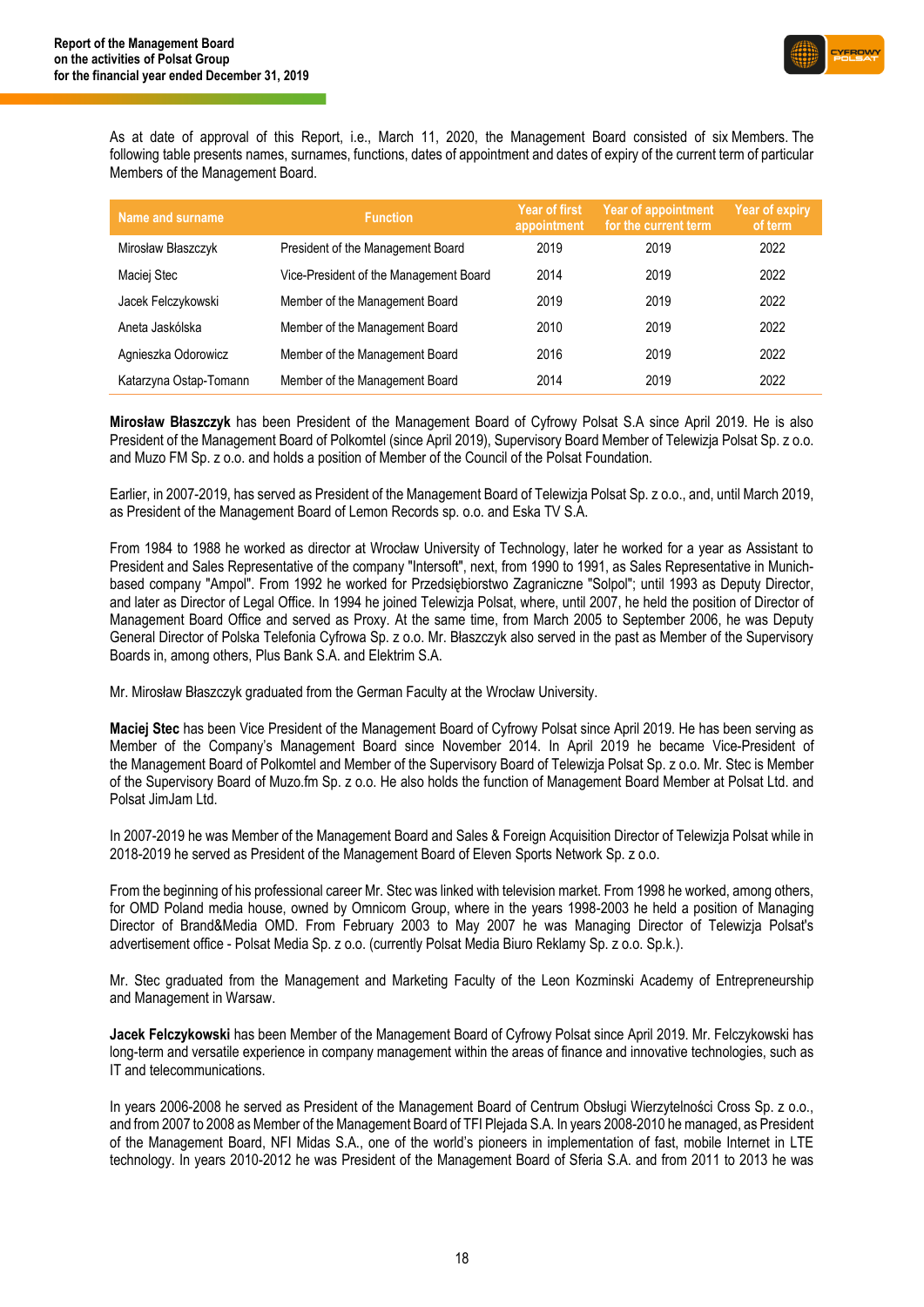

As at date of approval of this Report, i.e., March 11, 2020, the Management Board consisted of six Members. The following table presents names, surnames, functions, dates of appointment and dates of expiry of the current term of particular Members of the Management Board.

| Name and surname       | <b>Function</b>                        | <b>Year of first</b><br>appointment | <b>Year of appointment</b><br>for the current term | <b>Year of expiry</b><br>of term |
|------------------------|----------------------------------------|-------------------------------------|----------------------------------------------------|----------------------------------|
| Mirosław Błaszczyk     | President of the Management Board      | 2019                                | 2019                                               | 2022                             |
| Maciej Stec            | Vice-President of the Management Board | 2014                                | 2019                                               | 2022                             |
| Jacek Felczykowski     | Member of the Management Board         | 2019                                | 2019                                               | 2022                             |
| Aneta Jaskólska        | Member of the Management Board         | 2010                                | 2019                                               | 2022                             |
| Agnieszka Odorowicz    | Member of the Management Board         | 2016                                | 2019                                               | 2022                             |
| Katarzyna Ostap-Tomann | Member of the Management Board         | 2014                                | 2019                                               | 2022                             |

**Mirosław Błaszczyk** has been President of the Management Board of Cyfrowy Polsat S.A since April 2019. He is also President of the Management Board of Polkomtel (since April 2019), Supervisory Board Member of Telewizja Polsat Sp. z o.o. and Muzo FM Sp. z o.o. and holds a position of Member of the Council of the Polsat Foundation.

Earlier, in 2007-2019, has served as President of the Management Board of Telewizja Polsat Sp. z o.o., and, until March 2019, as President of the Management Board of Lemon Records sp. o.o. and Eska TV S.A.

From 1984 to 1988 he worked as director at Wrocław University of Technology, later he worked for a year as Assistant to President and Sales Representative of the company "Intersoft", next, from 1990 to 1991, as Sales Representative in Munichbased company "Ampol". From 1992 he worked for Przedsiębiorstwo Zagraniczne "Solpol"; until 1993 as Deputy Director, and later as Director of Legal Office. In 1994 he joined Telewizja Polsat, where, until 2007, he held the position of Director of Management Board Office and served as Proxy. At the same time, from March 2005 to September 2006, he was Deputy General Director of Polska Telefonia Cyfrowa Sp. z o.o. Mr. Błaszczyk also served in the past as Member of the Supervisory Boards in, among others, Plus Bank S.A. and Elektrim S.A.

Mr. Mirosław Błaszczyk graduated from the German Faculty at the Wrocław University.

**Maciej Stec** has been Vice President of the Management Board of Cyfrowy Polsat since April 2019. He has been serving as Member of the Company's Management Board since November 2014. In April 2019 he became Vice-President of the Management Board of Polkomtel and Member of the Supervisory Board of Telewizja Polsat Sp. z o.o. Mr. Stec is Member of the Supervisory Board of Muzo.fm Sp. z o.o. He also holds the function of Management Board Member at Polsat Ltd. and Polsat JimJam Ltd.

In 2007-2019 he was Member of the Management Board and Sales & Foreign Acquisition Director of Telewizja Polsat while in 2018-2019 he served as President of the Management Board of Eleven Sports Network Sp. z o.o.

From the beginning of his professional career Mr. Stec was linked with television market. From 1998 he worked, among others, for OMD Poland media house, owned by Omnicom Group, where in the years 1998-2003 he held a position of Managing Director of Brand&Media OMD. From February 2003 to May 2007 he was Managing Director of Telewizja Polsat's advertisement office - Polsat Media Sp. z o.o. (currently Polsat Media Biuro Reklamy Sp. z o.o. Sp.k.).

Mr. Stec graduated from the Management and Marketing Faculty of the Leon Kozminski Academy of Entrepreneurship and Management in Warsaw.

**Jacek Felczykowski** has been Member of the Management Board of Cyfrowy Polsat since April 2019. Mr. Felczykowski has long-term and versatile experience in company management within the areas of finance and innovative technologies, such as IT and telecommunications.

In years 2006-2008 he served as President of the Management Board of Centrum Obsługi Wierzytelności Cross Sp. z o.o., and from 2007 to 2008 as Member of the Management Board of TFI Plejada S.A. In years 2008-2010 he managed, as President of the Management Board, NFI Midas S.A., one of the world's pioneers in implementation of fast, mobile Internet in LTE technology. In years 2010-2012 he was President of the Management Board of Sferia S.A. and from 2011 to 2013 he was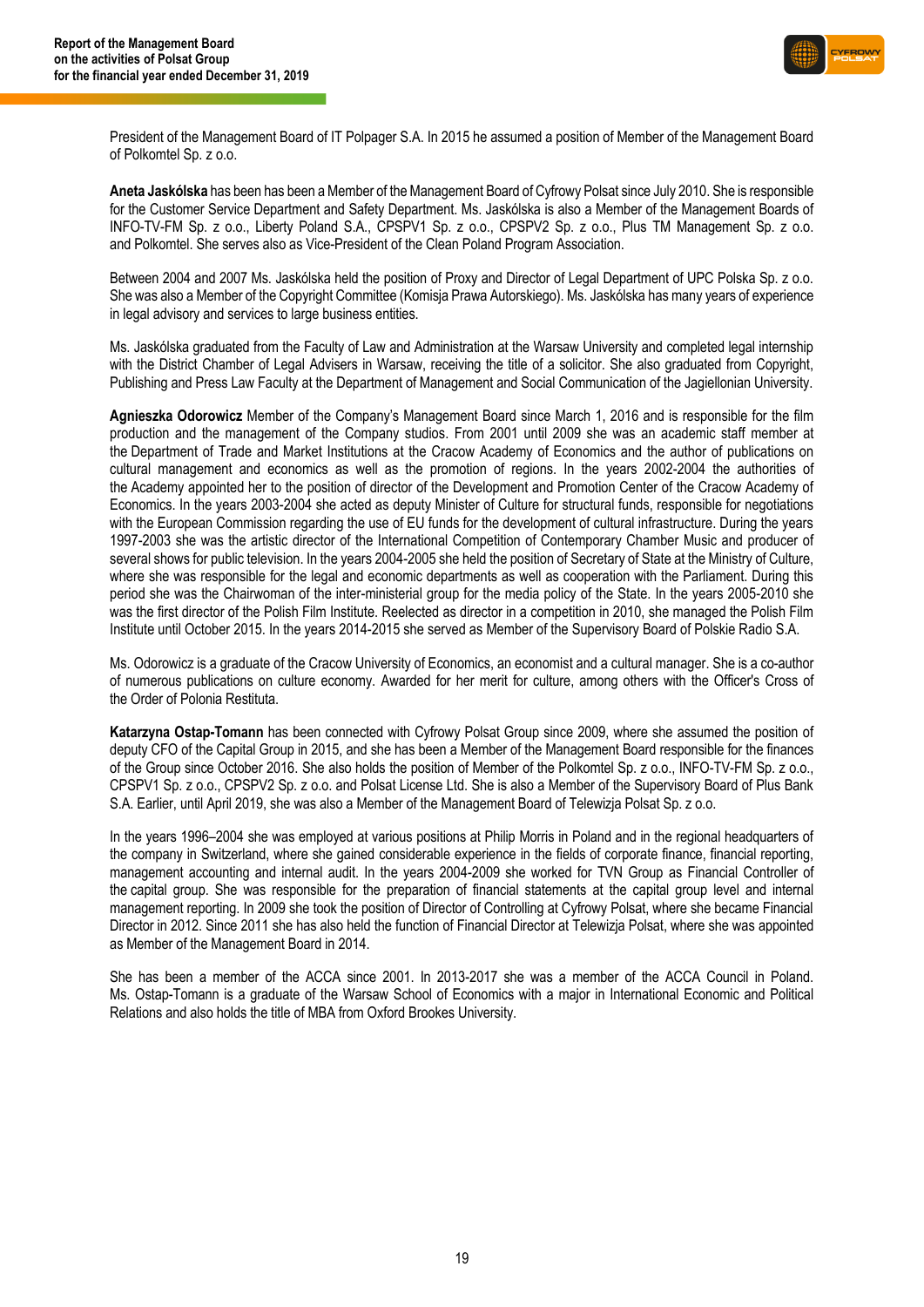

President of the Management Board of IT Polpager S.A. In 2015 he assumed a position of Member of the Management Board of Polkomtel Sp. z o.o.

**Aneta Jaskólska** has been has been a Member of the Management Board of Cyfrowy Polsat since July 2010. She is responsible for the Customer Service Department and Safety Department. Ms. Jaskólska is also a Member of the Management Boards of INFO-TV-FM Sp. z o.o., Liberty Poland S.A., CPSPV1 Sp. z o.o., CPSPV2 Sp. z o.o., Plus TM Management Sp. z o.o. and Polkomtel. She serves also as Vice-President of the Clean Poland Program Association.

Between 2004 and 2007 Ms. Jaskólska held the position of Proxy and Director of Legal Department of UPC Polska Sp. z o.o. She was also a Member of the Copyright Committee (Komisja Prawa Autorskiego). Ms. Jaskólska has many years of experience in legal advisory and services to large business entities.

Ms. Jaskólska graduated from the Faculty of Law and Administration at the Warsaw University and completed legal internship with the District Chamber of Legal Advisers in Warsaw, receiving the title of a solicitor. She also graduated from Copyright, Publishing and Press Law Faculty at the Department of Management and Social Communication of the Jagiellonian University.

**Agnieszka Odorowicz** Member of the Company's Management Board since March 1, 2016 and is responsible for the film production and the management of the Company studios. From 2001 until 2009 she was an academic staff member at the Department of Trade and Market Institutions at the Cracow Academy of Economics and the author of publications on cultural management and economics as well as the promotion of regions. In the years 2002-2004 the authorities of the Academy appointed her to the position of director of the Development and Promotion Center of the Cracow Academy of Economics. In the years 2003-2004 she acted as deputy Minister of Culture for structural funds, responsible for negotiations with the European Commission regarding the use of EU funds for the development of cultural infrastructure. During the years 1997-2003 she was the artistic director of the International Competition of Contemporary Chamber Music and producer of several shows for public television. In the years 2004-2005 she held the position of Secretary of State at the Ministry of Culture, where she was responsible for the legal and economic departments as well as cooperation with the Parliament. During this period she was the Chairwoman of the inter-ministerial group for the media policy of the State. In the years 2005-2010 she was the first director of the Polish Film Institute. Reelected as director in a competition in 2010, she managed the Polish Film Institute until October 2015. In the years 2014-2015 she served as Member of the Supervisory Board of Polskie Radio S.A.

Ms. Odorowicz is a graduate of the Cracow University of Economics, an economist and a cultural manager. She is a co-author of numerous publications on culture economy. Awarded for her merit for culture, among others with the Officer's Cross of the Order of Polonia Restituta.

**Katarzyna Ostap-Tomann** has been connected with Cyfrowy Polsat Group since 2009, where she assumed the position of deputy CFO of the Capital Group in 2015, and she has been a Member of the Management Board responsible for the finances of the Group since October 2016. She also holds the position of Member of the Polkomtel Sp. z o.o., INFO-TV-FM Sp. z o.o., CPSPV1 Sp. z o.o., CPSPV2 Sp. z o.o. and Polsat License Ltd. She is also a Member of the Supervisory Board of Plus Bank S.A. Earlier, until April 2019, she was also a Member of the Management Board of Telewizja Polsat Sp. z o.o.

In the years 1996–2004 she was employed at various positions at Philip Morris in Poland and in the regional headquarters of the company in Switzerland, where she gained considerable experience in the fields of corporate finance, financial reporting, management accounting and internal audit. In the years 2004-2009 she worked for TVN Group as Financial Controller of the capital group. She was responsible for the preparation of financial statements at the capital group level and internal management reporting. In 2009 she took the position of Director of Controlling at Cyfrowy Polsat, where she became Financial Director in 2012. Since 2011 she has also held the function of Financial Director at Telewizja Polsat, where she was appointed as Member of the Management Board in 2014.

She has been a member of the ACCA since 2001. In 2013-2017 she was a member of the ACCA Council in Poland. Ms. Ostap-Tomann is a graduate of the Warsaw School of Economics with a major in International Economic and Political Relations and also holds the title of MBA from Oxford Brookes University.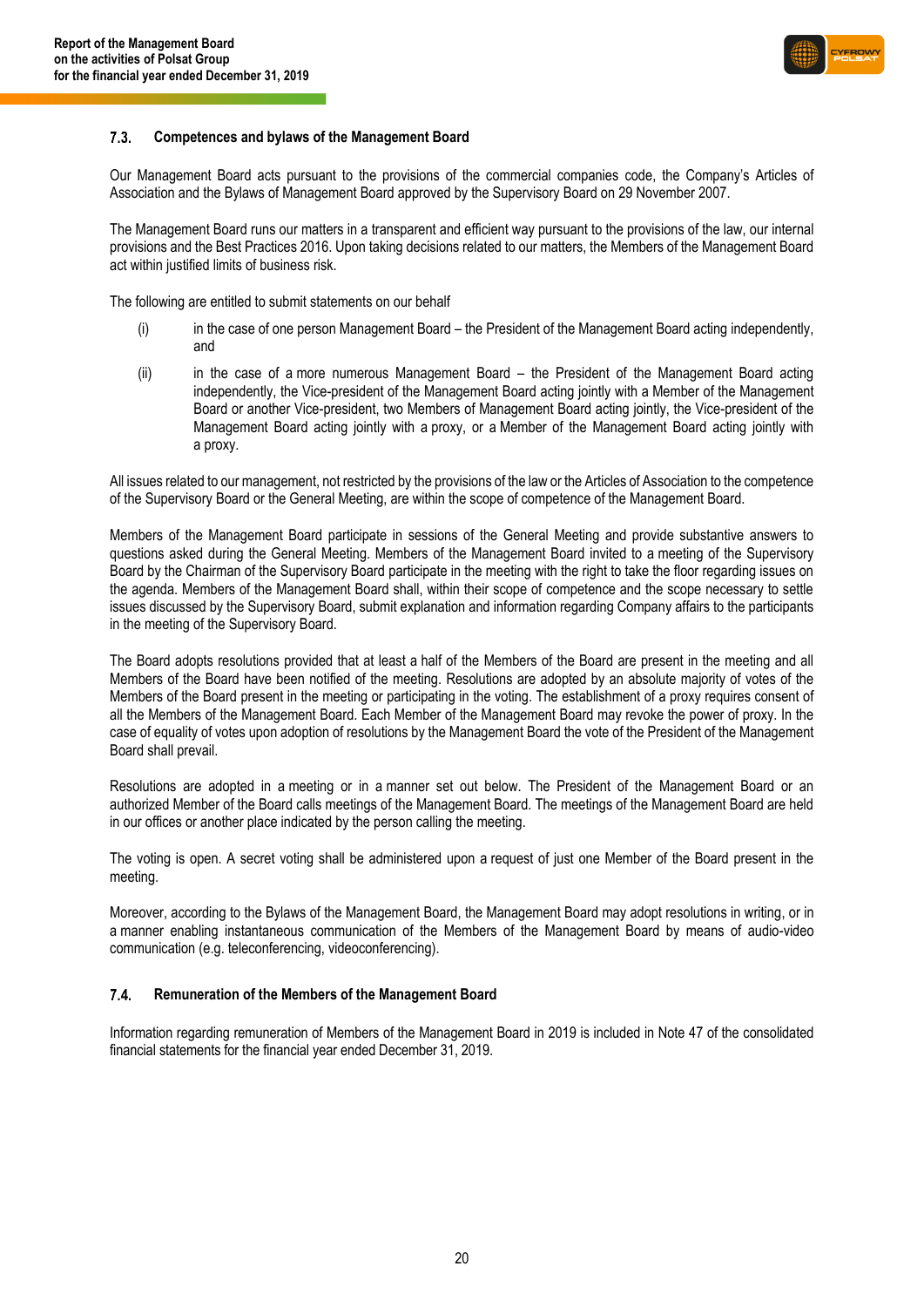

#### **Competences and bylaws of the Management Board**  $7.3.$

Our Management Board acts pursuant to the provisions of the commercial companies code, the Company's Articles of Association and the Bylaws of Management Board approved by the Supervisory Board on 29 November 2007.

The Management Board runs our matters in a transparent and efficient way pursuant to the provisions of the law, our internal provisions and the Best Practices 2016. Upon taking decisions related to our matters, the Members of the Management Board act within justified limits of business risk.

The following are entitled to submit statements on our behalf

- (i) in the case of one person Management Board the President of the Management Board acting independently, and
- (ii) in the case of a more numerous Management Board the President of the Management Board acting independently, the Vice-president of the Management Board acting jointly with a Member of the Management Board or another Vice-president, two Members of Management Board acting jointly, the Vice-president of the Management Board acting jointly with a proxy, or a Member of the Management Board acting jointly with a proxy.

All issues related to our management, not restricted by the provisions of the law or the Articles of Association to the competence of the Supervisory Board or the General Meeting, are within the scope of competence of the Management Board.

Members of the Management Board participate in sessions of the General Meeting and provide substantive answers to questions asked during the General Meeting. Members of the Management Board invited to a meeting of the Supervisory Board by the Chairman of the Supervisory Board participate in the meeting with the right to take the floor regarding issues on the agenda. Members of the Management Board shall, within their scope of competence and the scope necessary to settle issues discussed by the Supervisory Board, submit explanation and information regarding Company affairs to the participants in the meeting of the Supervisory Board.

The Board adopts resolutions provided that at least a half of the Members of the Board are present in the meeting and all Members of the Board have been notified of the meeting. Resolutions are adopted by an absolute majority of votes of the Members of the Board present in the meeting or participating in the voting. The establishment of a proxy requires consent of all the Members of the Management Board. Each Member of the Management Board may revoke the power of proxy. In the case of equality of votes upon adoption of resolutions by the Management Board the vote of the President of the Management Board shall prevail.

Resolutions are adopted in a meeting or in a manner set out below. The President of the Management Board or an authorized Member of the Board calls meetings of the Management Board. The meetings of the Management Board are held in our offices or another place indicated by the person calling the meeting.

The voting is open. A secret voting shall be administered upon a request of just one Member of the Board present in the meeting.

Moreover, according to the Bylaws of the Management Board, the Management Board may adopt resolutions in writing, or in a manner enabling instantaneous communication of the Members of the Management Board by means of audio-video communication (e.g. teleconferencing, videoconferencing).

#### $7.4.$ **Remuneration of the Members of the Management Board**

Information regarding remuneration of Members of the Management Board in 2019 is included in Note 47 of the consolidated financial statements for the financial year ended December 31, 2019.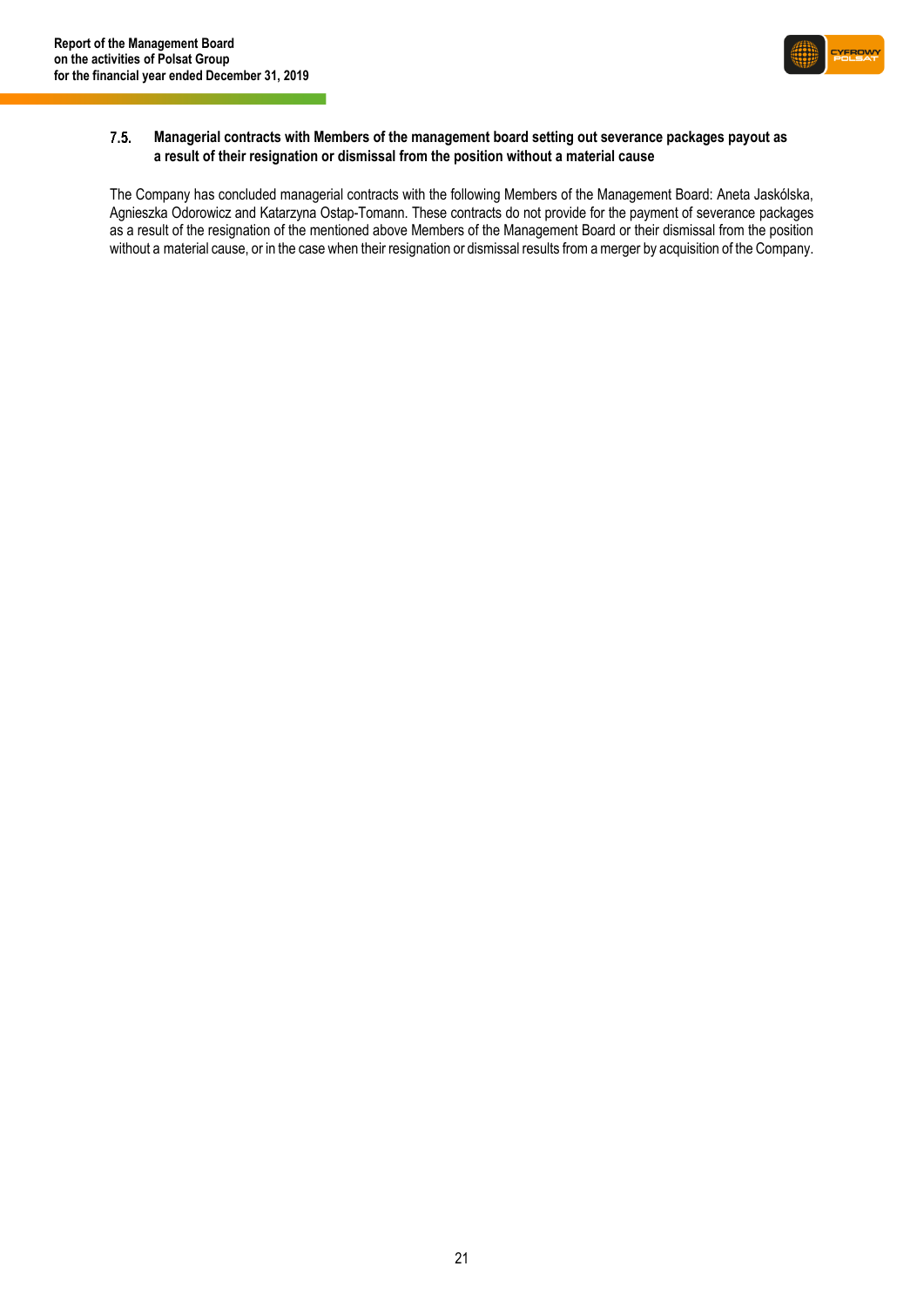

#### $7.5.$ **Managerial contracts with Members of the management board setting out severance packages payout as a result of their resignation or dismissal from the position without a material cause**

The Company has concluded managerial contracts with the following Members of the Management Board: Aneta Jaskólska, Agnieszka Odorowicz and Katarzyna Ostap-Tomann. These contracts do not provide for the payment of severance packages as a result of the resignation of the mentioned above Members of the Management Board or their dismissal from the position without a material cause, or in the case when their resignation or dismissal results from a merger by acquisition of the Company.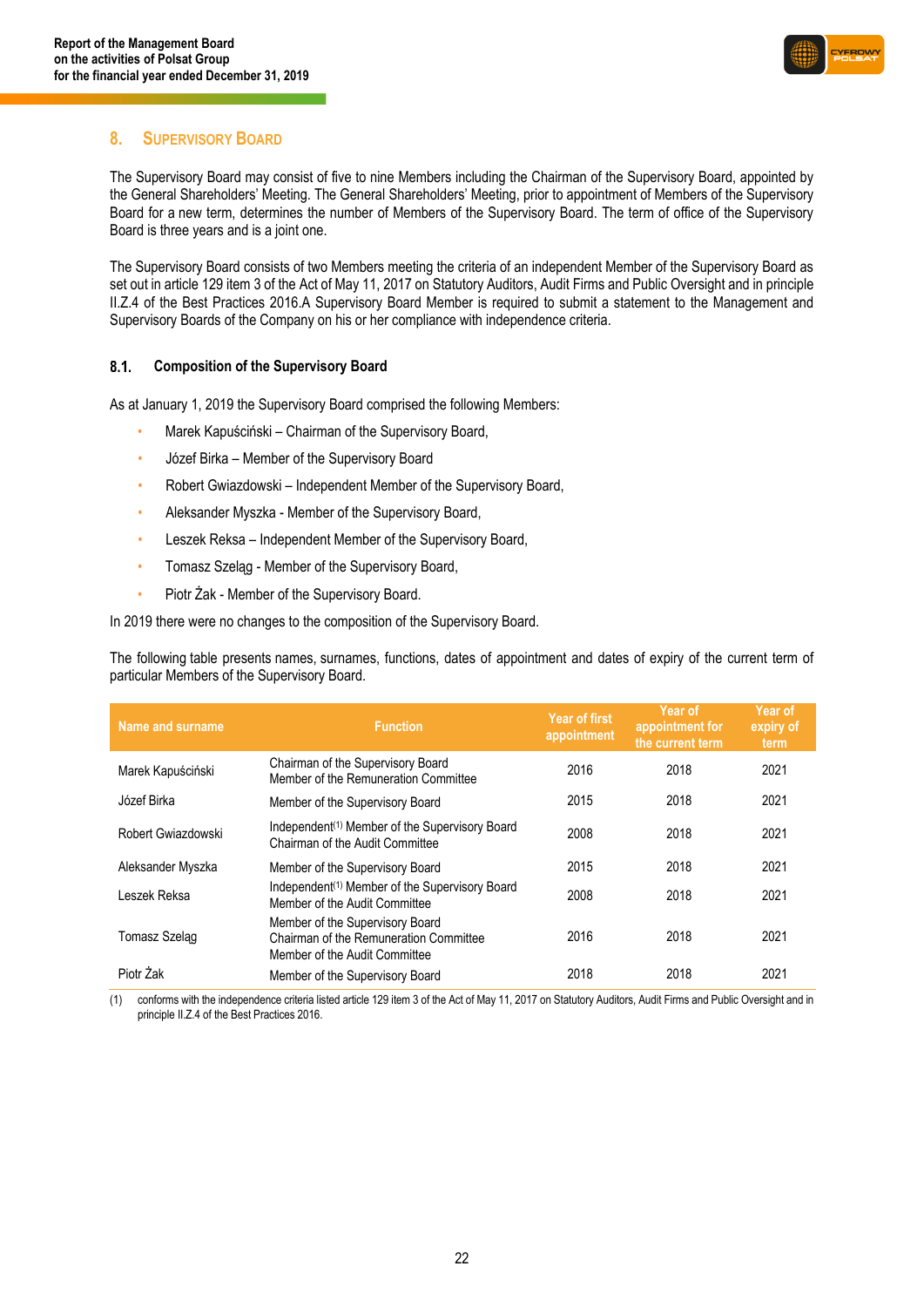

### <span id="page-21-0"></span>**8. SUPERVISORY BOARD**

The Supervisory Board may consist of five to nine Members including the Chairman of the Supervisory Board, appointed by the General Shareholders' Meeting. The General Shareholders' Meeting, prior to appointment of Members of the Supervisory Board for a new term, determines the number of Members of the Supervisory Board. The term of office of the Supervisory Board is three years and is a joint one.

The Supervisory Board consists of two Members meeting the criteria of an independent Member of the Supervisory Board as set out in article 129 item 3 of the Act of May 11, 2017 on Statutory Auditors, Audit Firms and Public Oversight and in principle II.Z.4 of the Best Practices 2016.A Supervisory Board Member is required to submit a statement to the Management and Supervisory Boards of the Company on his or her compliance with independence criteria.

#### $8.1.$ **Composition of the Supervisory Board**

As at January 1, 2019 the Supervisory Board comprised the following Members:

- Marek Kapuściński Chairman of the Supervisory Board,
- Józef Birka Member of the Supervisory Board
- Robert Gwiazdowski Independent Member of the Supervisory Board,
- Aleksander Myszka Member of the Supervisory Board,
- Leszek Reksa Independent Member of the Supervisory Board,
- Tomasz Szeląg Member of the Supervisory Board,
- Piotr Żak Member of the Supervisory Board.

In 2019 there were no changes to the composition of the Supervisory Board.

The following table presents names, surnames, functions, dates of appointment and dates of expiry of the current term of particular Members of the Supervisory Board.

| Name and surname   | <b>Function</b>                                                                                            | Year of first<br>appointment | Year of<br>appointment for<br>the current term | Year of<br>expiry of<br>term |
|--------------------|------------------------------------------------------------------------------------------------------------|------------------------------|------------------------------------------------|------------------------------|
| Marek Kapuściński  | Chairman of the Supervisory Board<br>Member of the Remuneration Committee                                  | 2016                         | 2018                                           | 2021                         |
| Józef Birka        | Member of the Supervisory Board                                                                            | 2015                         | 2018                                           | 2021                         |
| Robert Gwiazdowski | Independent <sup>(1)</sup> Member of the Supervisory Board<br>Chairman of the Audit Committee              | 2008                         | 2018                                           | 2021                         |
| Aleksander Myszka  | Member of the Supervisory Board                                                                            | 2015                         | 2018                                           | 2021                         |
| Leszek Reksa       | Independent <sup>(1)</sup> Member of the Supervisory Board<br>Member of the Audit Committee                | 2008                         | 2018                                           | 2021                         |
| Tomasz Szelag      | Member of the Supervisory Board<br>Chairman of the Remuneration Committee<br>Member of the Audit Committee | 2016                         | 2018                                           | 2021                         |
| Piotr Żak          | Member of the Supervisory Board                                                                            | 2018                         | 2018                                           | 2021                         |

(1) conforms with the independence criteria listed article 129 item 3 of the Act of May 11, 2017 on Statutory Auditors, Audit Firms and Public Oversight and in principle II.Z.4 of the Best Practices 2016.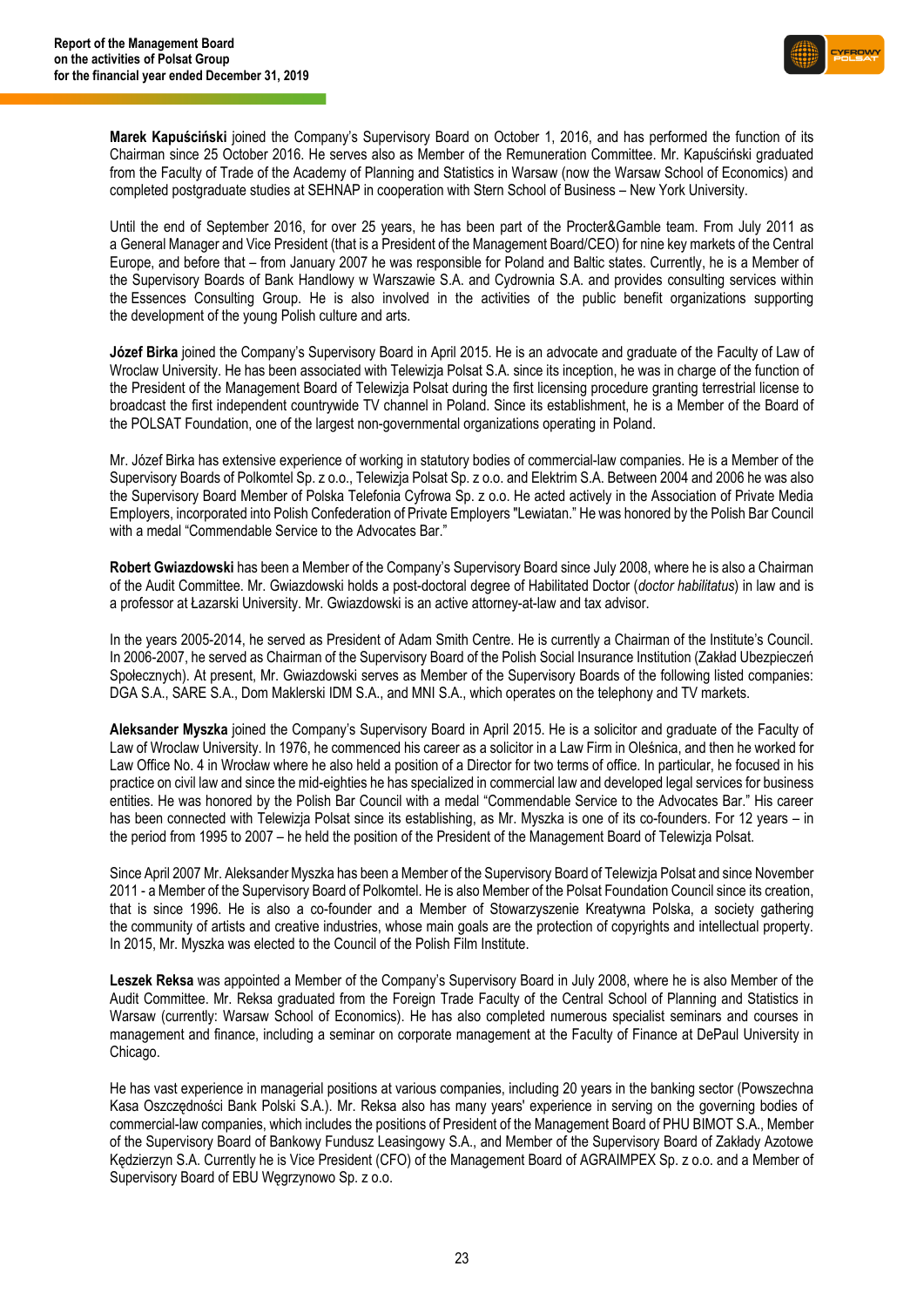

**Marek Kapuściński** joined the Company's Supervisory Board on October 1, 2016, and has performed the function of its Chairman since 25 October 2016. He serves also as Member of the Remuneration Committee. Mr. Kapuściński graduated from the Faculty of Trade of the Academy of Planning and Statistics in Warsaw (now the Warsaw School of Economics) and completed postgraduate studies at SEHNAP in cooperation with Stern School of Business – New York University.

Until the end of September 2016, for over 25 years, he has been part of the Procter&Gamble team. From July 2011 as a General Manager and Vice President (that is a President of the Management Board/CEO) for nine key markets of the Central Europe, and before that – from January 2007 he was responsible for Poland and Baltic states. Currently, he is a Member of the Supervisory Boards of Bank Handlowy w Warszawie S.A. and Cydrownia S.A. and provides consulting services within the Essences Consulting Group. He is also involved in the activities of the public benefit organizations supporting the development of the young Polish culture and arts.

**Józef Birka** joined the Company's Supervisory Board in April 2015. He is an advocate and graduate of the Faculty of Law of Wroclaw University. He has been associated with Telewizja Polsat S.A. since its inception, he was in charge of the function of the President of the Management Board of Telewizja Polsat during the first licensing procedure granting terrestrial license to broadcast the first independent countrywide TV channel in Poland. Since its establishment, he is a Member of the Board of the POLSAT Foundation, one of the largest non-governmental organizations operating in Poland.

Mr. Józef Birka has extensive experience of working in statutory bodies of commercial-law companies. He is a Member of the Supervisory Boards of Polkomtel Sp. z o.o., Telewizja Polsat Sp. z o.o. and Elektrim S.A. Between 2004 and 2006 he was also the Supervisory Board Member of Polska Telefonia Cyfrowa Sp. z o.o. He acted actively in the Association of Private Media Employers, incorporated into Polish Confederation of Private Employers "Lewiatan." He was honored by the Polish Bar Council with a medal "Commendable Service to the Advocates Bar."

**Robert Gwiazdowski** has been a Member of the Company's Supervisory Board since July 2008, where he is also a Chairman of the Audit Committee. Mr. Gwiazdowski holds a post-doctoral degree of Habilitated Doctor (*doctor habilitatus*) in law and is a professor at Łazarski University. Mr. Gwiazdowski is an active attorney-at-law and tax advisor.

In the years 2005-2014, he served as President of Adam Smith Centre. He is currently a Chairman of the Institute's Council. In 2006-2007, he served as Chairman of the Supervisory Board of the Polish Social Insurance Institution (Zakład Ubezpieczeń Społecznych). At present, Mr. Gwiazdowski serves as Member of the Supervisory Boards of the following listed companies: DGA S.A., SARE S.A., Dom Maklerski IDM S.A., and MNI S.A., which operates on the telephony and TV markets.

**Aleksander Myszka** joined the Company's Supervisory Board in April 2015. He is a solicitor and graduate of the Faculty of Law of Wroclaw University. In 1976, he commenced his career as a solicitor in a Law Firm in Oleśnica, and then he worked for Law Office No. 4 in Wrocław where he also held a position of a Director for two terms of office. In particular, he focused in his practice on civil law and since the mid-eighties he has specialized in commercial law and developed legal services for business entities. He was honored by the Polish Bar Council with a medal "Commendable Service to the Advocates Bar." His career has been connected with Telewizja Polsat since its establishing, as Mr. Myszka is one of its co-founders. For 12 years – in the period from 1995 to 2007 – he held the position of the President of the Management Board of Telewizja Polsat.

Since April 2007 Mr. Aleksander Myszka has been a Member of the Supervisory Board of Telewizja Polsat and since November 2011 - a Member of the Supervisory Board of Polkomtel. He is also Member of the Polsat Foundation Council since its creation, that is since 1996. He is also a co-founder and a Member of Stowarzyszenie Kreatywna Polska, a society gathering the community of artists and creative industries, whose main goals are the protection of copyrights and intellectual property. In 2015, Mr. Myszka was elected to the Council of the Polish Film Institute.

**Leszek Reksa** was appointed a Member of the Company's Supervisory Board in July 2008, where he is also Member of the Audit Committee. Mr. Reksa graduated from the Foreign Trade Faculty of the Central School of Planning and Statistics in Warsaw (currently: Warsaw School of Economics). He has also completed numerous specialist seminars and courses in management and finance, including a seminar on corporate management at the Faculty of Finance at DePaul University in Chicago.

He has vast experience in managerial positions at various companies, including 20 years in the banking sector (Powszechna Kasa Oszczędności Bank Polski S.A.). Mr. Reksa also has many years' experience in serving on the governing bodies of commercial-law companies, which includes the positions of President of the Management Board of PHU BIMOT S.A., Member of the Supervisory Board of Bankowy Fundusz Leasingowy S.A., and Member of the Supervisory Board of Zakłady Azotowe Kędzierzyn S.A. Currently he is Vice President (CFO) of the Management Board of AGRAIMPEX Sp. z o.o. and a Member of Supervisory Board of EBU Węgrzynowo Sp. z o.o.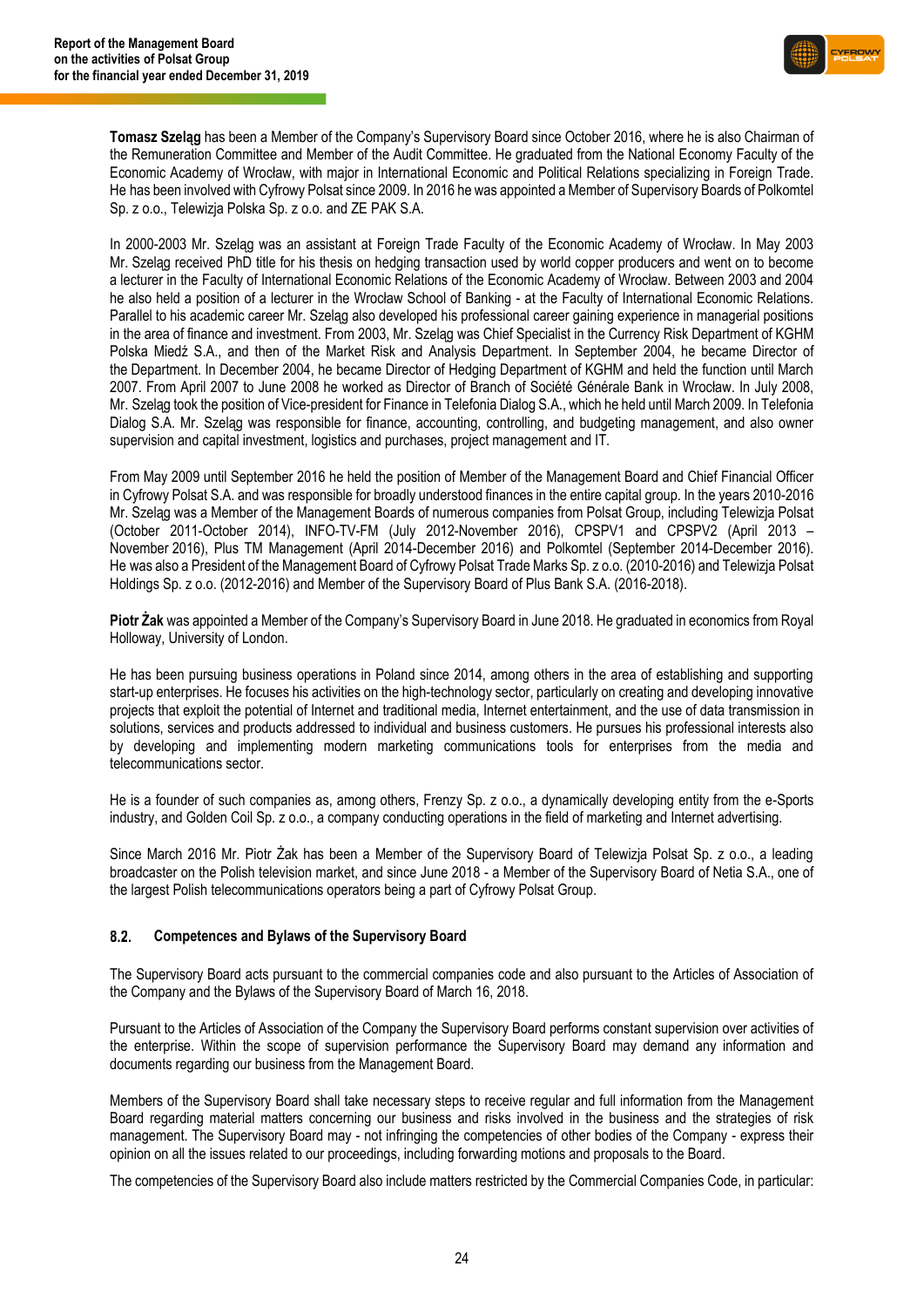

**Tomasz Szeląg** has been a Member of the Company's Supervisory Board since October 2016, where he is also Chairman of the Remuneration Committee and Member of the Audit Committee. He graduated from the National Economy Faculty of the Economic Academy of Wrocław, with major in International Economic and Political Relations specializing in Foreign Trade. He has been involved with Cyfrowy Polsat since 2009. In 2016 he was appointed a Member of Supervisory Boards of Polkomtel Sp. z o.o., Telewizja Polska Sp. z o.o. and ZE PAK S.A.

In 2000-2003 Mr. Szeląg was an assistant at Foreign Trade Faculty of the Economic Academy of Wrocław. In May 2003 Mr. Szeląg received PhD title for his thesis on hedging transaction used by world copper producers and went on to become a lecturer in the Faculty of International Economic Relations of the Economic Academy of Wrocław. Between 2003 and 2004 he also held a position of a lecturer in the Wrocław School of Banking - at the Faculty of International Economic Relations. Parallel to his academic career Mr. Szeląg also developed his professional career gaining experience in managerial positions in the area of finance and investment. From 2003, Mr. Szeląg was Chief Specialist in the Currency Risk Department of KGHM Polska Miedź S.A., and then of the Market Risk and Analysis Department. In September 2004, he became Director of the Department. In December 2004, he became Director of Hedging Department of KGHM and held the function until March 2007. From April 2007 to June 2008 he worked as Director of Branch of Société Générale Bank in Wrocław. In July 2008, Mr. Szeląg took the position of Vice-president for Finance in Telefonia Dialog S.A., which he held until March 2009. In Telefonia Dialog S.A. Mr. Szeląg was responsible for finance, accounting, controlling, and budgeting management, and also owner supervision and capital investment, logistics and purchases, project management and IT.

From May 2009 until September 2016 he held the position of Member of the Management Board and Chief Financial Officer in Cyfrowy Polsat S.A. and was responsible for broadly understood finances in the entire capital group. In the years 2010-2016 Mr. Szeląg was a Member of the Management Boards of numerous companies from Polsat Group, including Telewizja Polsat (October 2011-October 2014), INFO-TV-FM (July 2012-November 2016), CPSPV1 and CPSPV2 (April 2013 – November 2016), Plus TM Management (April 2014-December 2016) and Polkomtel (September 2014-December 2016). He was also a President of the Management Board of Cyfrowy Polsat Trade Marks Sp. z o.o. (2010-2016) and Telewizja Polsat Holdings Sp. z o.o. (2012-2016) and Member of the Supervisory Board of Plus Bank S.A. (2016-2018).

**Piotr Żak** was appointed a Member of the Company's Supervisory Board in June 2018. He graduated in economics from Royal Holloway, University of London.

He has been pursuing business operations in Poland since 2014, among others in the area of establishing and supporting start-up enterprises. He focuses his activities on the high-technology sector, particularly on creating and developing innovative projects that exploit the potential of Internet and traditional media, Internet entertainment, and the use of data transmission in solutions, services and products addressed to individual and business customers. He pursues his professional interests also by developing and implementing modern marketing communications tools for enterprises from the media and telecommunications sector.

He is a founder of such companies as, among others, Frenzy Sp. z o.o., a dynamically developing entity from the e-Sports industry, and Golden Coil Sp. z o.o., a company conducting operations in the field of marketing and Internet advertising.

Since March 2016 Mr. Piotr Żak has been a Member of the Supervisory Board of Telewizja Polsat Sp. z o.o., a leading broadcaster on the Polish television market, and since June 2018 - a Member of the Supervisory Board of Netia S.A., one of the largest Polish telecommunications operators being a part of Cyfrowy Polsat Group.

#### $8.2.$ **Competences and Bylaws of the Supervisory Board**

The Supervisory Board acts pursuant to the commercial companies code and also pursuant to the Articles of Association of the Company and the Bylaws of the Supervisory Board of March 16, 2018.

Pursuant to the Articles of Association of the Company the Supervisory Board performs constant supervision over activities of the enterprise. Within the scope of supervision performance the Supervisory Board may demand any information and documents regarding our business from the Management Board.

Members of the Supervisory Board shall take necessary steps to receive regular and full information from the Management Board regarding material matters concerning our business and risks involved in the business and the strategies of risk management. The Supervisory Board may - not infringing the competencies of other bodies of the Company - express their opinion on all the issues related to our proceedings, including forwarding motions and proposals to the Board.

The competencies of the Supervisory Board also include matters restricted by the Commercial Companies Code, in particular: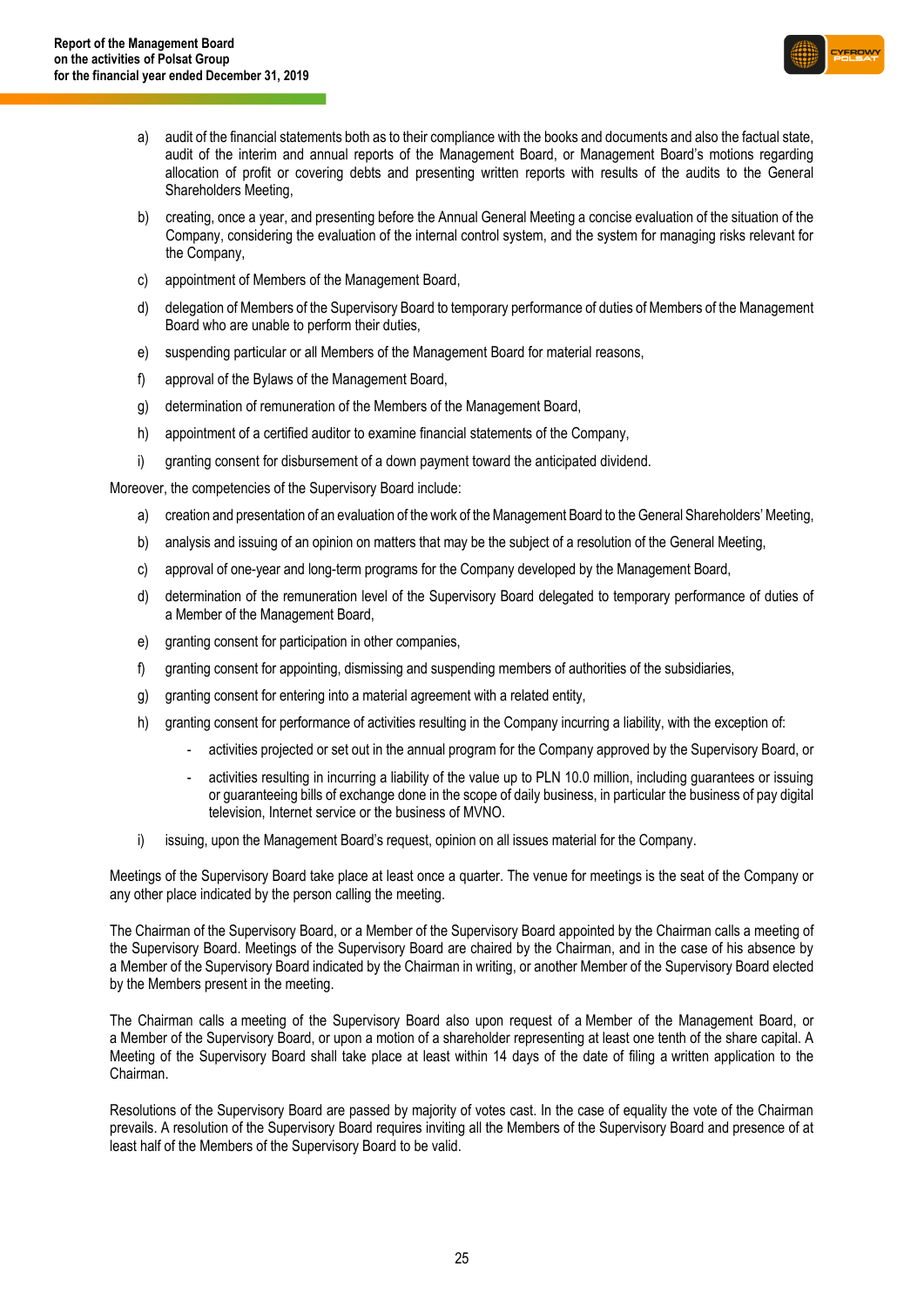

- a) audit of the financial statements both as to their compliance with the books and documents and also the factual state, audit of the interim and annual reports of the Management Board, or Management Board's motions regarding allocation of profit or covering debts and presenting written reports with results of the audits to the General Shareholders Meeting,
- b) creating, once a year, and presenting before the Annual General Meeting a concise evaluation of the situation of the Company, considering the evaluation of the internal control system, and the system for managing risks relevant for the Company,
- c) appointment of Members of the Management Board,
- d) delegation of Members of the Supervisory Board to temporary performance of duties of Members of the Management Board who are unable to perform their duties,
- e) suspending particular or all Members of the Management Board for material reasons,
- f) approval of the Bylaws of the Management Board,
- g) determination of remuneration of the Members of the Management Board,
- h) appointment of a certified auditor to examine financial statements of the Company,
- i) granting consent for disbursement of a down payment toward the anticipated dividend.

Moreover, the competencies of the Supervisory Board include:

- a) creation and presentation of an evaluation of the work of the Management Board to the General Shareholders' Meeting,
- b) analysis and issuing of an opinion on matters that may be the subject of a resolution of the General Meeting,
- c) approval of one-year and long-term programs for the Company developed by the Management Board,
- d) determination of the remuneration level of the Supervisory Board delegated to temporary performance of duties of a Member of the Management Board,
- e) granting consent for participation in other companies,
- f) granting consent for appointing, dismissing and suspending members of authorities of the subsidiaries,
- g) granting consent for entering into a material agreement with a related entity,
- h) granting consent for performance of activities resulting in the Company incurring a liability, with the exception of:
	- activities projected or set out in the annual program for the Company approved by the Supervisory Board, or
	- activities resulting in incurring a liability of the value up to PLN 10.0 million, including guarantees or issuing or guaranteeing bills of exchange done in the scope of daily business, in particular the business of pay digital television, Internet service or the business of MVNO.
- i) issuing, upon the Management Board's request, opinion on all issues material for the Company.

Meetings of the Supervisory Board take place at least once a quarter. The venue for meetings is the seat of the Company or any other place indicated by the person calling the meeting.

The Chairman of the Supervisory Board, or a Member of the Supervisory Board appointed by the Chairman calls a meeting of the Supervisory Board. Meetings of the Supervisory Board are chaired by the Chairman, and in the case of his absence by a Member of the Supervisory Board indicated by the Chairman in writing, or another Member of the Supervisory Board elected by the Members present in the meeting.

The Chairman calls a meeting of the Supervisory Board also upon request of a Member of the Management Board, or a Member of the Supervisory Board, or upon a motion of a shareholder representing at least one tenth of the share capital. A Meeting of the Supervisory Board shall take place at least within 14 days of the date of filing a written application to the Chairman.

Resolutions of the Supervisory Board are passed by majority of votes cast. In the case of equality the vote of the Chairman prevails. A resolution of the Supervisory Board requires inviting all the Members of the Supervisory Board and presence of at least half of the Members of the Supervisory Board to be valid.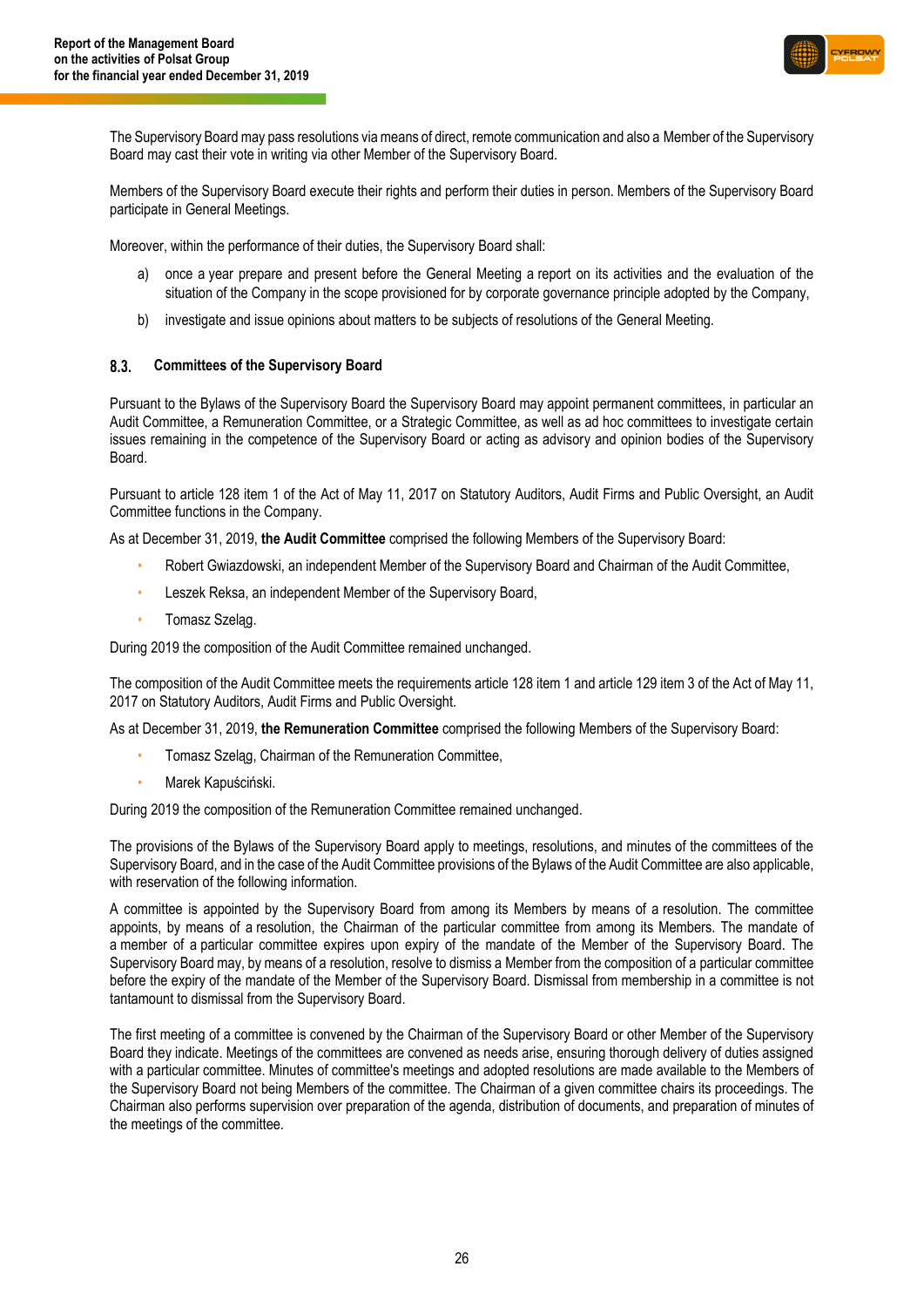

The Supervisory Board may pass resolutions via means of direct, remote communication and also a Member of the Supervisory Board may cast their vote in writing via other Member of the Supervisory Board.

Members of the Supervisory Board execute their rights and perform their duties in person. Members of the Supervisory Board participate in General Meetings.

Moreover, within the performance of their duties, the Supervisory Board shall:

- a) once a year prepare and present before the General Meeting a report on its activities and the evaluation of the situation of the Company in the scope provisioned for by corporate governance principle adopted by the Company,
- b) investigate and issue opinions about matters to be subjects of resolutions of the General Meeting.

#### $8.3.$ **Committees of the Supervisory Board**

Pursuant to the Bylaws of the Supervisory Board the Supervisory Board may appoint permanent committees, in particular an Audit Committee, a Remuneration Committee, or a Strategic Committee, as well as ad hoc committees to investigate certain issues remaining in the competence of the Supervisory Board or acting as advisory and opinion bodies of the Supervisory Board.

Pursuant to article 128 item 1 of the Act of May 11, 2017 on Statutory Auditors, Audit Firms and Public Oversight, an Audit Committee functions in the Company.

As at December 31, 2019, **the Audit Committee** comprised the following Members of the Supervisory Board:

- Robert Gwiazdowski, an independent Member of the Supervisory Board and Chairman of the Audit Committee,
- Leszek Reksa, an independent Member of the Supervisory Board,
- Tomasz Szeląg.

During 2019 the composition of the Audit Committee remained unchanged.

The composition of the Audit Committee meets the requirements article 128 item 1 and article 129 item 3 of the Act of May 11, 2017 on Statutory Auditors, Audit Firms and Public Oversight.

As at December 31, 2019, **the Remuneration Committee** comprised the following Members of the Supervisory Board:

- Tomasz Szeląg, Chairman of the Remuneration Committee,
- Marek Kapuściński.

During 2019 the composition of the Remuneration Committee remained unchanged.

The provisions of the Bylaws of the Supervisory Board apply to meetings, resolutions, and minutes of the committees of the Supervisory Board, and in the case of the Audit Committee provisions of the Bylaws of the Audit Committee are also applicable, with reservation of the following information.

A committee is appointed by the Supervisory Board from among its Members by means of a resolution. The committee appoints, by means of a resolution, the Chairman of the particular committee from among its Members. The mandate of a member of a particular committee expires upon expiry of the mandate of the Member of the Supervisory Board. The Supervisory Board may, by means of a resolution, resolve to dismiss a Member from the composition of a particular committee before the expiry of the mandate of the Member of the Supervisory Board. Dismissal from membership in a committee is not tantamount to dismissal from the Supervisory Board.

The first meeting of a committee is convened by the Chairman of the Supervisory Board or other Member of the Supervisory Board they indicate. Meetings of the committees are convened as needs arise, ensuring thorough delivery of duties assigned with a particular committee. Minutes of committee's meetings and adopted resolutions are made available to the Members of the Supervisory Board not being Members of the committee. The Chairman of a given committee chairs its proceedings. The Chairman also performs supervision over preparation of the agenda, distribution of documents, and preparation of minutes of the meetings of the committee.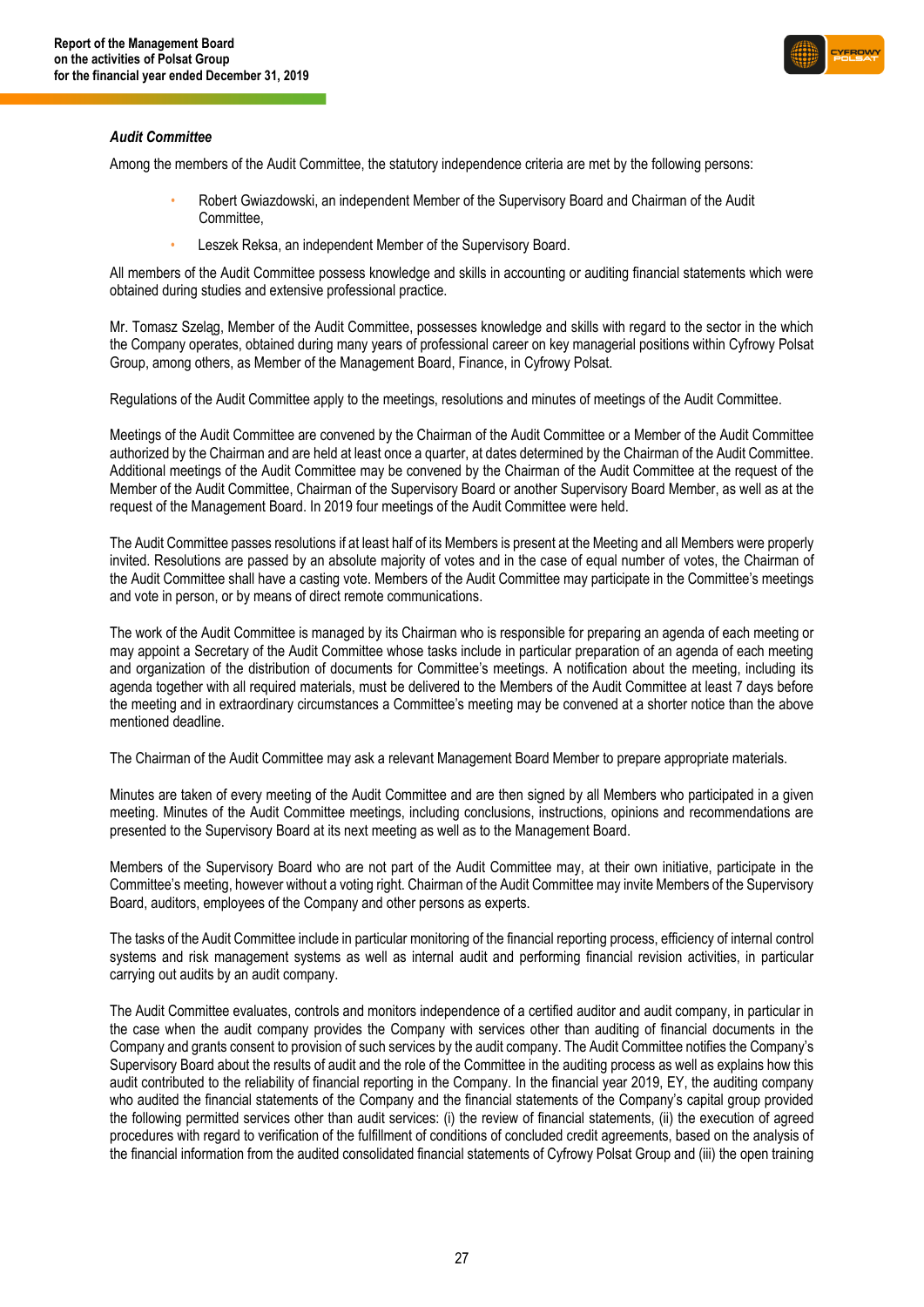

### *Audit Committee*

Among the members of the Audit Committee, the statutory independence criteria are met by the following persons:

- Robert Gwiazdowski, an independent Member of the Supervisory Board and Chairman of the Audit Committee,
- Leszek Reksa, an independent Member of the Supervisory Board.

All members of the Audit Committee possess knowledge and skills in accounting or auditing financial statements which were obtained during studies and extensive professional practice.

Mr. Tomasz Szeląg, Member of the Audit Committee, possesses knowledge and skills with regard to the sector in the which the Company operates, obtained during many years of professional career on key managerial positions within Cyfrowy Polsat Group, among others, as Member of the Management Board, Finance, in Cyfrowy Polsat.

Regulations of the Audit Committee apply to the meetings, resolutions and minutes of meetings of the Audit Committee.

Meetings of the Audit Committee are convened by the Chairman of the Audit Committee or a Member of the Audit Committee authorized by the Chairman and are held at least once a quarter, at dates determined by the Chairman of the Audit Committee. Additional meetings of the Audit Committee may be convened by the Chairman of the Audit Committee at the request of the Member of the Audit Committee, Chairman of the Supervisory Board or another Supervisory Board Member, as well as at the request of the Management Board. In 2019 four meetings of the Audit Committee were held.

The Audit Committee passes resolutions if at least half of its Members is present at the Meeting and all Members were properly invited. Resolutions are passed by an absolute majority of votes and in the case of equal number of votes, the Chairman of the Audit Committee shall have a casting vote. Members of the Audit Committee may participate in the Committee's meetings and vote in person, or by means of direct remote communications.

The work of the Audit Committee is managed by its Chairman who is responsible for preparing an agenda of each meeting or may appoint a Secretary of the Audit Committee whose tasks include in particular preparation of an agenda of each meeting and organization of the distribution of documents for Committee's meetings. A notification about the meeting, including its agenda together with all required materials, must be delivered to the Members of the Audit Committee at least 7 days before the meeting and in extraordinary circumstances a Committee's meeting may be convened at a shorter notice than the above mentioned deadline.

The Chairman of the Audit Committee may ask a relevant Management Board Member to prepare appropriate materials.

Minutes are taken of every meeting of the Audit Committee and are then signed by all Members who participated in a given meeting. Minutes of the Audit Committee meetings, including conclusions, instructions, opinions and recommendations are presented to the Supervisory Board at its next meeting as well as to the Management Board.

Members of the Supervisory Board who are not part of the Audit Committee may, at their own initiative, participate in the Committee's meeting, however without a voting right. Chairman of the Audit Committee may invite Members of the Supervisory Board, auditors, employees of the Company and other persons as experts.

The tasks of the Audit Committee include in particular monitoring of the financial reporting process, efficiency of internal control systems and risk management systems as well as internal audit and performing financial revision activities, in particular carrying out audits by an audit company.

The Audit Committee evaluates, controls and monitors independence of a certified auditor and audit company, in particular in the case when the audit company provides the Company with services other than auditing of financial documents in the Company and grants consent to provision of such services by the audit company. The Audit Committee notifies the Company's Supervisory Board about the results of audit and the role of the Committee in the auditing process as well as explains how this audit contributed to the reliability of financial reporting in the Company. In the financial year 2019, EY, the auditing company who audited the financial statements of the Company and the financial statements of the Company's capital group provided the following permitted services other than audit services: (i) the review of financial statements, (ii) the execution of agreed procedures with regard to verification of the fulfillment of conditions of concluded credit agreements, based on the analysis of the financial information from the audited consolidated financial statements of Cyfrowy Polsat Group and (iii) the open training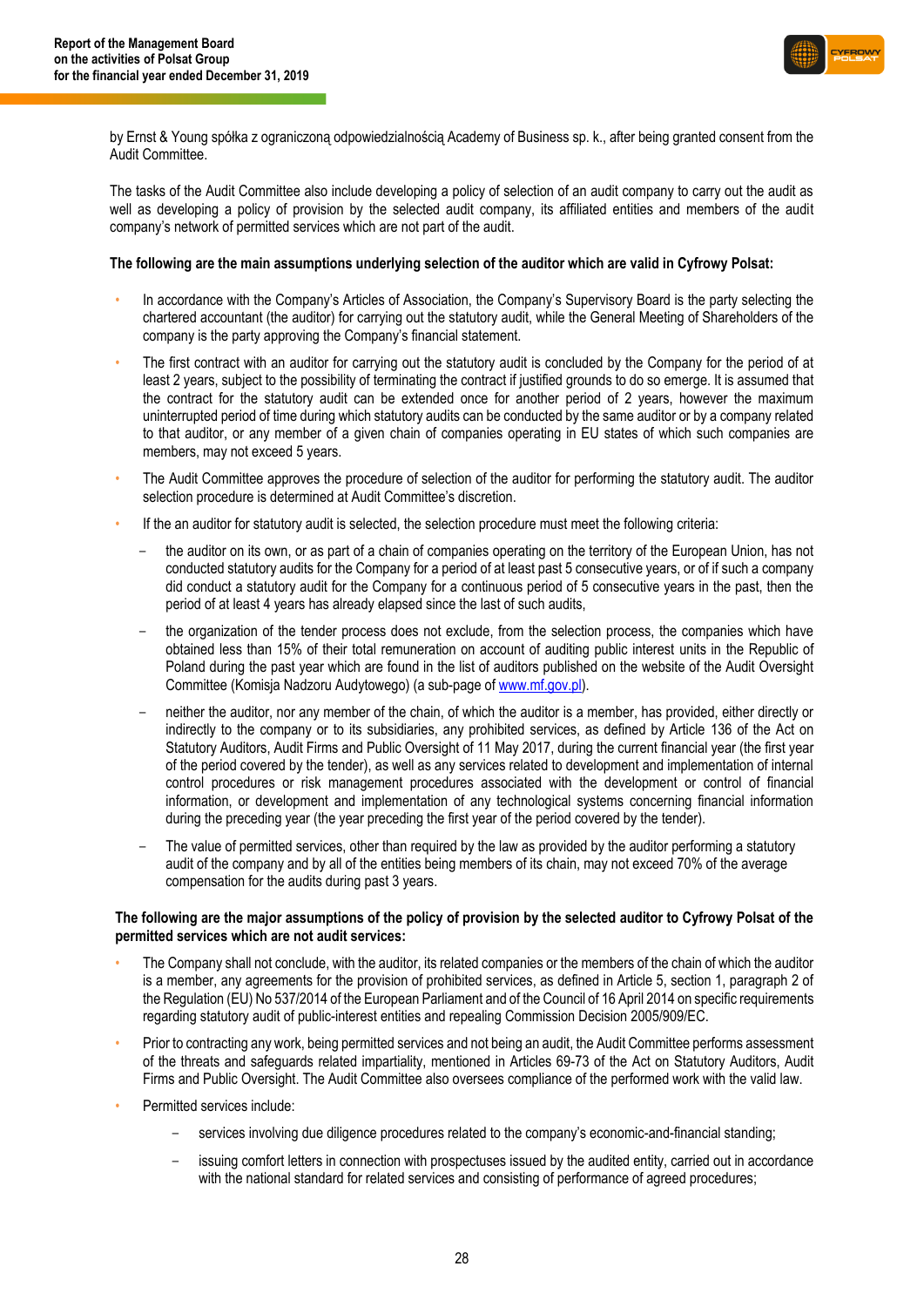

by Ernst & Young spółka z ograniczoną odpowiedzialnością Academy of Business sp. k., after being granted consent from the Audit Committee.

The tasks of the Audit Committee also include developing a policy of selection of an audit company to carry out the audit as well as developing a policy of provision by the selected audit company, its affiliated entities and members of the audit company's network of permitted services which are not part of the audit.

#### **The following are the main assumptions underlying selection of the auditor which are valid in Cyfrowy Polsat:**

- In accordance with the Company's Articles of Association, the Company's Supervisory Board is the party selecting the chartered accountant (the auditor) for carrying out the statutory audit, while the General Meeting of Shareholders of the company is the party approving the Company's financial statement.
- The first contract with an auditor for carrying out the statutory audit is concluded by the Company for the period of at least 2 years, subject to the possibility of terminating the contract if justified grounds to do so emerge. It is assumed that the contract for the statutory audit can be extended once for another period of 2 years, however the maximum uninterrupted period of time during which statutory audits can be conducted by the same auditor or by a company related to that auditor, or any member of a given chain of companies operating in EU states of which such companies are members, may not exceed 5 years.
- The Audit Committee approves the procedure of selection of the auditor for performing the statutory audit. The auditor selection procedure is determined at Audit Committee's discretion.
- If the an auditor for statutory audit is selected, the selection procedure must meet the following criteria:
	- the auditor on its own, or as part of a chain of companies operating on the territory of the European Union, has not conducted statutory audits for the Company for a period of at least past 5 consecutive years, or of if such a company did conduct a statutory audit for the Company for a continuous period of 5 consecutive years in the past, then the period of at least 4 years has already elapsed since the last of such audits,
	- the organization of the tender process does not exclude, from the selection process, the companies which have obtained less than 15% of their total remuneration on account of auditing public interest units in the Republic of Poland during the past year which are found in the list of auditors published on the website of the Audit Oversight Committee (Komisja Nadzoru Audytowego) (a sub-page o[f www.mf.gov.pl\)](http://www.mf.gov.pl/).
	- neither the auditor, nor any member of the chain, of which the auditor is a member, has provided, either directly or indirectly to the company or to its subsidiaries, any prohibited services, as defined by Article 136 of the Act on Statutory Auditors, Audit Firms and Public Oversight of 11 May 2017, during the current financial year (the first year of the period covered by the tender), as well as any services related to development and implementation of internal control procedures or risk management procedures associated with the development or control of financial information, or development and implementation of any technological systems concerning financial information during the preceding year (the year preceding the first year of the period covered by the tender).
	- The value of permitted services, other than required by the law as provided by the auditor performing a statutory audit of the company and by all of the entities being members of its chain, may not exceed 70% of the average compensation for the audits during past 3 years.

### **The following are the major assumptions of the policy of provision by the selected auditor to Cyfrowy Polsat of the permitted services which are not audit services:**

- The Company shall not conclude, with the auditor, its related companies or the members of the chain of which the auditor is a member, any agreements for the provision of prohibited services, as defined in Article 5, section 1, paragraph 2 of the Regulation (EU) No 537/2014 of the European Parliament and of the Council of 16 April 2014 on specific requirements regarding statutory audit of public-interest entities and repealing Commission Decision 2005/909/EC.
- Prior to contracting any work, being permitted services and not being an audit, the Audit Committee performs assessment of the threats and safeguards related impartiality, mentioned in Articles 69-73 of the Act on Statutory Auditors, Audit Firms and Public Oversight. The Audit Committee also oversees compliance of the performed work with the valid law.
- Permitted services include:
	- services involving due diligence procedures related to the company's economic-and-financial standing;
	- issuing comfort letters in connection with prospectuses issued by the audited entity, carried out in accordance with the national standard for related services and consisting of performance of agreed procedures;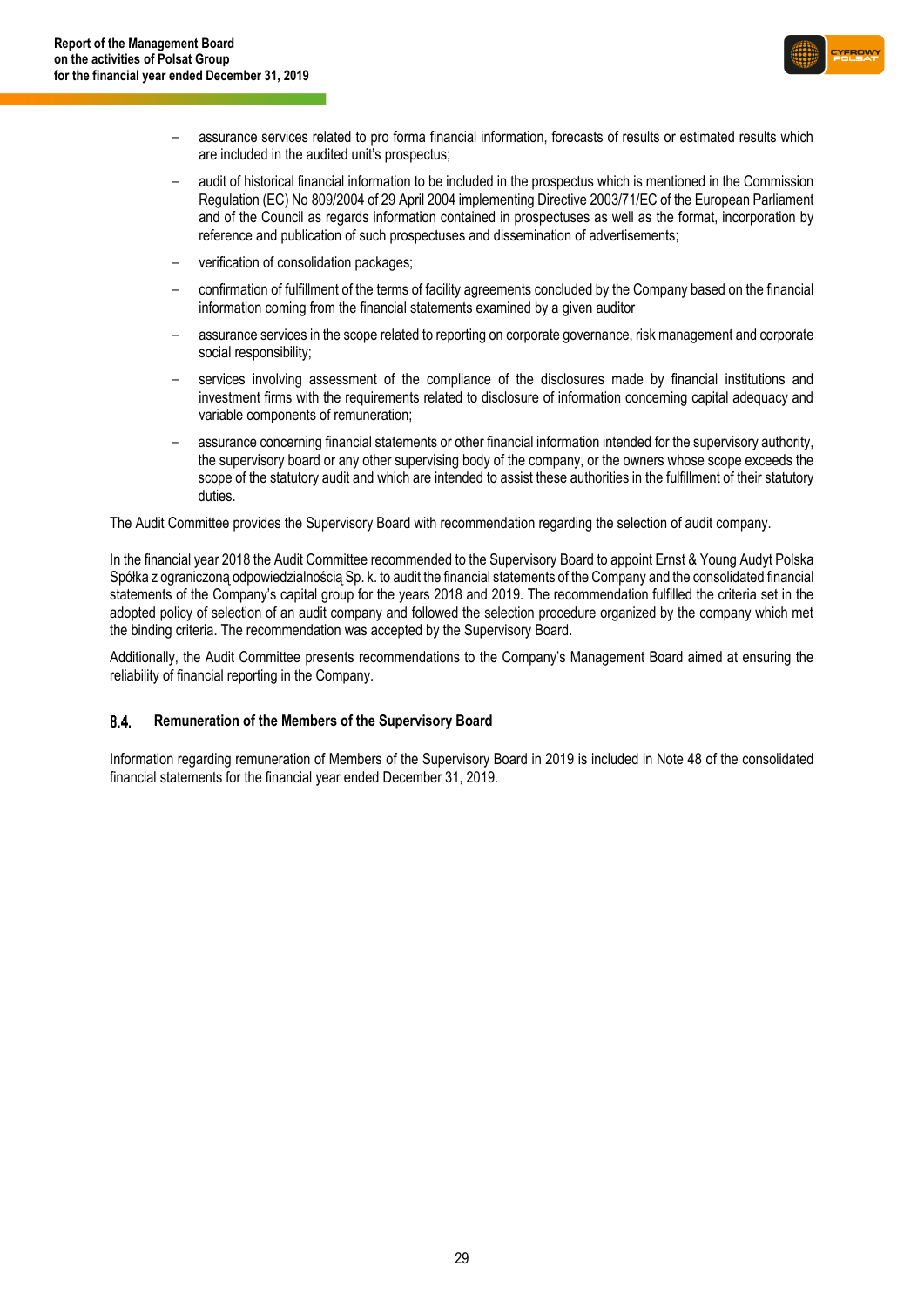

- assurance services related to pro forma financial information, forecasts of results or estimated results which are included in the audited unit's prospectus;
- audit of historical financial information to be included in the prospectus which is mentioned in the Commission Regulation (EC) No 809/2004 of 29 April 2004 implementing Directive 2003/71/EC of the European Parliament and of the Council as regards information contained in prospectuses as well as the format, incorporation by reference and publication of such prospectuses and dissemination of advertisements;
- verification of consolidation packages;
- confirmation of fulfillment of the terms of facility agreements concluded by the Company based on the financial information coming from the financial statements examined by a given auditor
- assurance services in the scope related to reporting on corporate governance, risk management and corporate social responsibility;
- services involving assessment of the compliance of the disclosures made by financial institutions and investment firms with the requirements related to disclosure of information concerning capital adequacy and variable components of remuneration;
- assurance concerning financial statements or other financial information intended for the supervisory authority, the supervisory board or any other supervising body of the company, or the owners whose scope exceeds the scope of the statutory audit and which are intended to assist these authorities in the fulfillment of their statutory duties.

The Audit Committee provides the Supervisory Board with recommendation regarding the selection of audit company.

In the financial year 2018 the Audit Committee recommended to the Supervisory Board to appoint Ernst & Young Audyt Polska Spółka z ograniczoną odpowiedzialnością Sp. k. to audit the financial statements of the Company and the consolidated financial statements of the Company's capital group for the years 2018 and 2019. The recommendation fulfilled the criteria set in the adopted policy of selection of an audit company and followed the selection procedure organized by the company which met the binding criteria. The recommendation was accepted by the Supervisory Board.

Additionally, the Audit Committee presents recommendations to the Company's Management Board aimed at ensuring the reliability of financial reporting in the Company.

#### $8.4.$ **Remuneration of the Members of the Supervisory Board**

Information regarding remuneration of Members of the Supervisory Board in 2019 is included in Note 48 of the consolidated financial statements for the financial year ended December 31, 2019.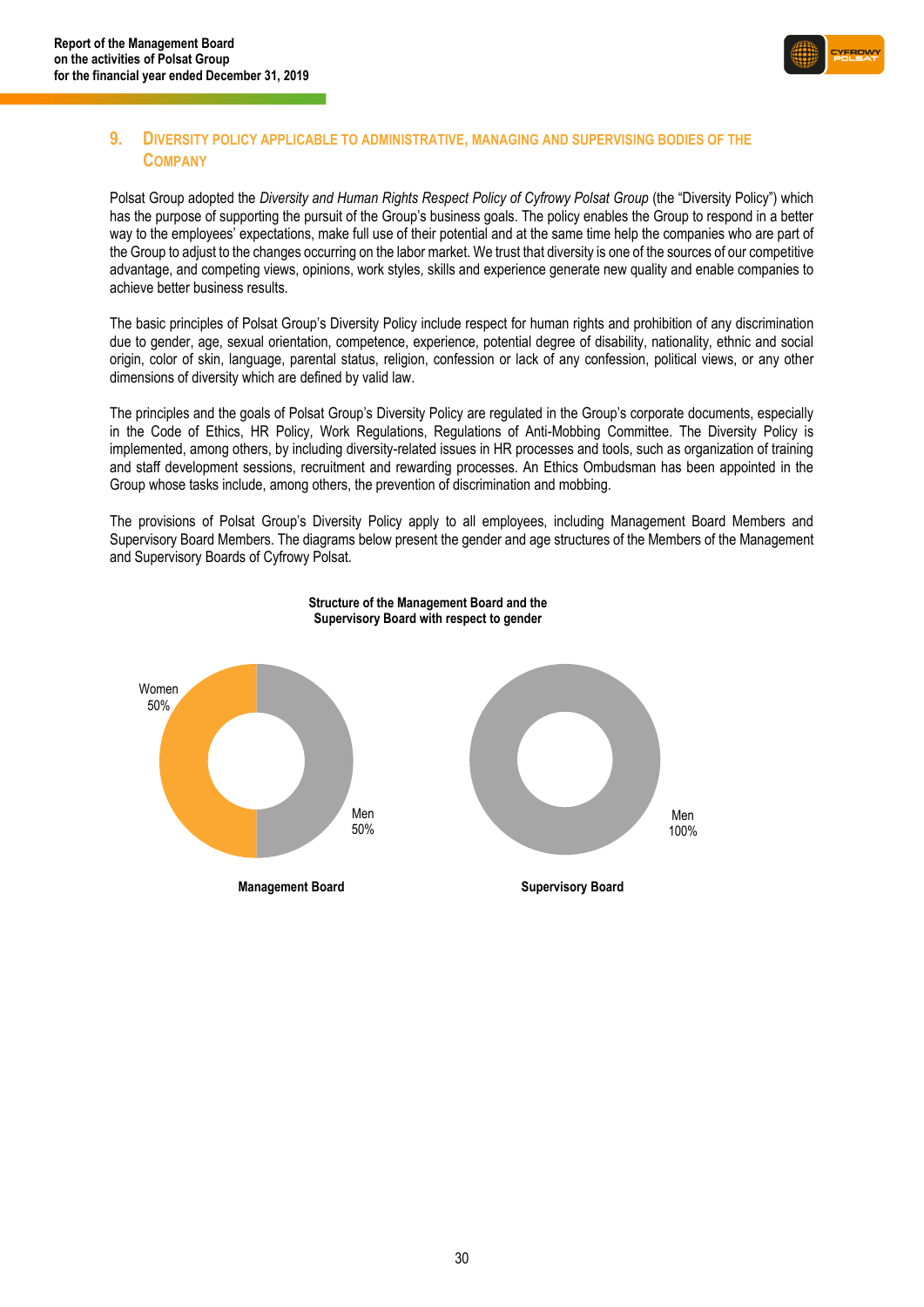

### <span id="page-29-0"></span>**9. DIVERSITY POLICY APPLICABLE TO ADMINISTRATIVE, MANAGING AND SUPERVISING BODIES OF THE COMPANY**

Polsat Group adopted the *Diversity and Human Rights Respect Policy of Cyfrowy Polsat Group* (the "Diversity Policy") which has the purpose of supporting the pursuit of the Group's business goals. The policy enables the Group to respond in a better way to the employees' expectations, make full use of their potential and at the same time help the companies who are part of the Group to adjust to the changes occurring on the labor market. We trust that diversity is one of the sources of our competitive advantage, and competing views, opinions, work styles, skills and experience generate new quality and enable companies to achieve better business results.

The basic principles of Polsat Group's Diversity Policy include respect for human rights and prohibition of any discrimination due to gender, age, sexual orientation, competence, experience, potential degree of disability, nationality, ethnic and social origin, color of skin, language, parental status, religion, confession or lack of any confession, political views, or any other dimensions of diversity which are defined by valid law.

The principles and the goals of Polsat Group's Diversity Policy are regulated in the Group's corporate documents, especially in the Code of Ethics, HR Policy, Work Regulations, Regulations of Anti-Mobbing Committee. The Diversity Policy is implemented, among others, by including diversity-related issues in HR processes and tools, such as organization of training and staff development sessions, recruitment and rewarding processes. An Ethics Ombudsman has been appointed in the Group whose tasks include, among others, the prevention of discrimination and mobbing.

The provisions of Polsat Group's Diversity Policy apply to all employees, including Management Board Members and Supervisory Board Members. The diagrams below present the gender and age structures of the Members of the Management and Supervisory Boards of Cyfrowy Polsat.